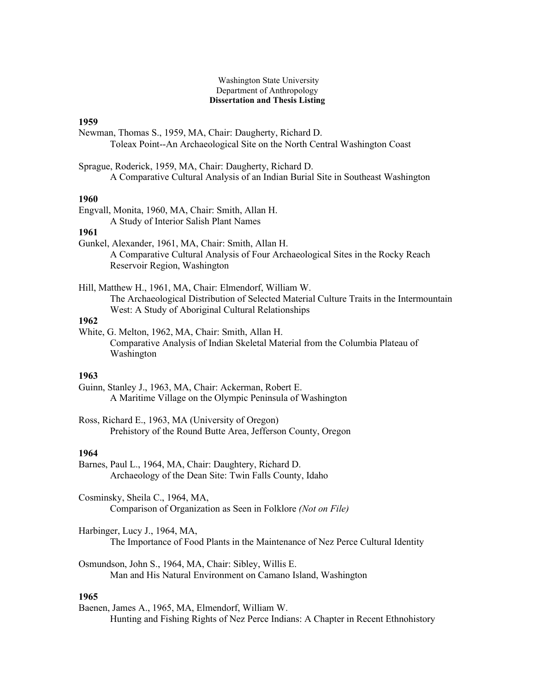#### Washington State University Department of Anthropology **Dissertation and Thesis Listing**

# **1959**

Newman, Thomas S., 1959, MA, Chair: Daugherty, Richard D. Toleax Point--An Archaeological Site on the North Central Washington Coast

Sprague, Roderick, 1959, MA, Chair: Daugherty, Richard D. A Comparative Cultural Analysis of an Indian Burial Site in Southeast Washington

### **1960**

Engvall, Monita, 1960, MA, Chair: Smith, Allan H. A Study of Interior Salish Plant Names

# **1961**

Gunkel, Alexander, 1961, MA, Chair: Smith, Allan H. A Comparative Cultural Analysis of Four Archaeological Sites in the Rocky Reach Reservoir Region, Washington

Hill, Matthew H., 1961, MA, Chair: Elmendorf, William W. The Archaeological Distribution of Selected Material Culture Traits in the Intermountain West: A Study of Aboriginal Cultural Relationships

# **1962**

White, G. Melton, 1962, MA, Chair: Smith, Allan H. Comparative Analysis of Indian Skeletal Material from the Columbia Plateau of Washington

# **1963**

Guinn, Stanley J., 1963, MA, Chair: Ackerman, Robert E. A Maritime Village on the Olympic Peninsula of Washington

Ross, Richard E., 1963, MA (University of Oregon) Prehistory of the Round Butte Area, Jefferson County, Oregon

## **1964**

Barnes, Paul L., 1964, MA, Chair: Daughtery, Richard D. Archaeology of the Dean Site: Twin Falls County, Idaho

Cosminsky, Sheila C., 1964, MA, Comparison of Organization as Seen in Folklore *(Not on File)*

Harbinger, Lucy J., 1964, MA, The Importance of Food Plants in the Maintenance of Nez Perce Cultural Identity

Osmundson, John S., 1964, MA, Chair: Sibley, Willis E. Man and His Natural Environment on Camano Island, Washington

# **1965**

Baenen, James A., 1965, MA, Elmendorf, William W. Hunting and Fishing Rights of Nez Perce Indians: A Chapter in Recent Ethnohistory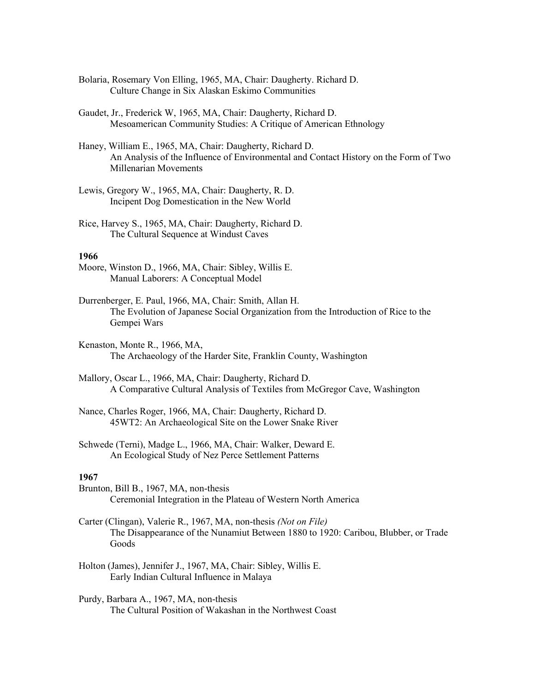- Bolaria, Rosemary Von Elling, 1965, MA, Chair: Daugherty. Richard D. Culture Change in Six Alaskan Eskimo Communities
- Gaudet, Jr., Frederick W, 1965, MA, Chair: Daugherty, Richard D. Mesoamerican Community Studies: A Critique of American Ethnology
- Haney, William E., 1965, MA, Chair: Daugherty, Richard D. An Analysis of the Influence of Environmental and Contact History on the Form of Two Millenarian Movements
- Lewis, Gregory W., 1965, MA, Chair: Daugherty, R. D. Incipent Dog Domestication in the New World
- Rice, Harvey S., 1965, MA, Chair: Daugherty, Richard D. The Cultural Sequence at Windust Caves

- Moore, Winston D., 1966, MA, Chair: Sibley, Willis E. Manual Laborers: A Conceptual Model
- Durrenberger, E. Paul, 1966, MA, Chair: Smith, Allan H. The Evolution of Japanese Social Organization from the Introduction of Rice to the Gempei Wars
- Kenaston, Monte R., 1966, MA, The Archaeology of the Harder Site, Franklin County, Washington
- Mallory, Oscar L., 1966, MA, Chair: Daugherty, Richard D. A Comparative Cultural Analysis of Textiles from McGregor Cave, Washington
- Nance, Charles Roger, 1966, MA, Chair: Daugherty, Richard D. 45WT2: An Archaeological Site on the Lower Snake River
- Schwede (Terni), Madge L., 1966, MA, Chair: Walker, Deward E. An Ecological Study of Nez Perce Settlement Patterns

- Brunton, Bill B., 1967, MA, non-thesis Ceremonial Integration in the Plateau of Western North America
- Carter (Clingan), Valerie R., 1967, MA, non-thesis *(Not on File)*  The Disappearance of the Nunamiut Between 1880 to 1920: Caribou, Blubber, or Trade Goods
- Holton (James), Jennifer J., 1967, MA, Chair: Sibley, Willis E. Early Indian Cultural Influence in Malaya
- Purdy, Barbara A., 1967, MA, non-thesis The Cultural Position of Wakashan in the Northwest Coast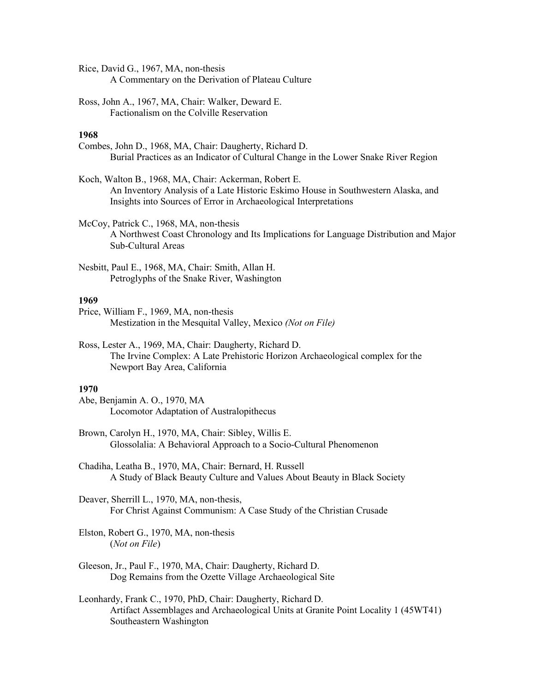Rice, David G., 1967, MA, non-thesis A Commentary on the Derivation of Plateau Culture

Ross, John A., 1967, MA, Chair: Walker, Deward E. Factionalism on the Colville Reservation

# **1968**

Combes, John D., 1968, MA, Chair: Daugherty, Richard D. Burial Practices as an Indicator of Cultural Change in the Lower Snake River Region

Koch, Walton B., 1968, MA, Chair: Ackerman, Robert E. An Inventory Analysis of a Late Historic Eskimo House in Southwestern Alaska, and Insights into Sources of Error in Archaeological Interpretations

McCoy, Patrick C., 1968, MA, non-thesis A Northwest Coast Chronology and Its Implications for Language Distribution and Major Sub-Cultural Areas

Nesbitt, Paul E., 1968, MA, Chair: Smith, Allan H. Petroglyphs of the Snake River, Washington

## **1969**

Price, William F., 1969, MA, non-thesis Mestization in the Mesquital Valley, Mexico *(Not on File)*

Ross, Lester A., 1969, MA, Chair: Daugherty, Richard D. The Irvine Complex: A Late Prehistoric Horizon Archaeological complex for the Newport Bay Area, California

## **1970**

Abe, Benjamin A. O., 1970, MA Locomotor Adaptation of Australopithecus

Brown, Carolyn H., 1970, MA, Chair: Sibley, Willis E. Glossolalia: A Behavioral Approach to a Socio-Cultural Phenomenon

Chadiha, Leatha B., 1970, MA, Chair: Bernard, H. Russell A Study of Black Beauty Culture and Values About Beauty in Black Society

Deaver, Sherrill L., 1970, MA, non-thesis, For Christ Against Communism: A Case Study of the Christian Crusade

Elston, Robert G., 1970, MA, non-thesis (*Not on File*)

Gleeson, Jr., Paul F., 1970, MA, Chair: Daugherty, Richard D. Dog Remains from the Ozette Village Archaeological Site

Leonhardy, Frank C., 1970, PhD, Chair: Daugherty, Richard D. Artifact Assemblages and Archaeological Units at Granite Point Locality 1 (45WT41) Southeastern Washington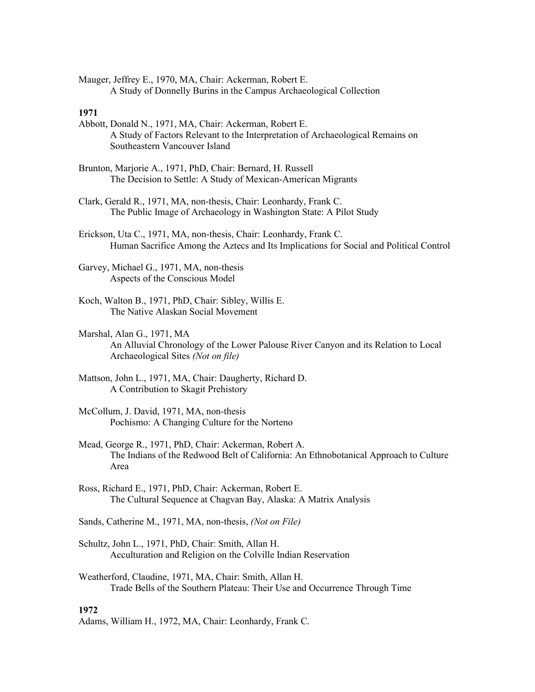Mauger, Jeffrey E., 1970, MA, Chair: Ackerman, Robert E. A Study of Donnelly Burins in the Campus Archaeological Collection

### **1971**

- Abbott, Donald N., 1971, MA, Chair: Ackerman, Robert E. A Study of Factors Relevant to the Interpretation of Archaeological Remains on Southeastern Vancouver Island
- Brunton, Marjorie A., 1971, PhD, Chair: Bernard, H. Russell The Decision to Settle: A Study of Mexican-American Migrants
- Clark, Gerald R., 1971, MA, non-thesis, Chair: Leonhardy, Frank C. The Public Image of Archaeology in Washington State: A Pilot Study

Erickson, Uta C., 1971, MA, non-thesis, Chair: Leonhardy, Frank C. Human Sacrifice Among the Aztecs and Its Implications for Social and Political Control

- Garvey, Michael G., 1971, MA, non-thesis Aspects of the Conscious Model
- Koch, Walton B., 1971, PhD, Chair: Sibley, Willis E. The Native Alaskan Social Movement
- Marshal, Alan G., 1971, MA An Alluvial Chronology of the Lower Palouse River Canyon and its Relation to Local Archaeological Sites *(Not on file)*
- Mattson, John L., 1971, MA, Chair: Daugherty, Richard D. A Contribution to Skagit Prehistory
- McCollum, J. David, 1971, MA, non-thesis Pochismo: A Changing Culture for the Norteno
- Mead, George R., 1971, PhD, Chair: Ackerman, Robert A. The Indians of the Redwood Belt of California: An Ethnobotanical Approach to Culture Area
- Ross, Richard E., 1971, PhD, Chair: Ackerman, Robert E. The Cultural Sequence at Chagvan Bay, Alaska: A Matrix Analysis
- Sands, Catherine M., 1971, MA, non-thesis, *(Not on File)*
- Schultz, John L., 1971, PhD, Chair: Smith, Allan H. Acculturation and Religion on the Colville Indian Reservation
- Weatherford, Claudine, 1971, MA, Chair: Smith, Allan H. Trade Bells of the Southern Plateau: Their Use and Occurrence Through Time

## **1972**

Adams, William H., 1972, MA, Chair: Leonhardy, Frank C.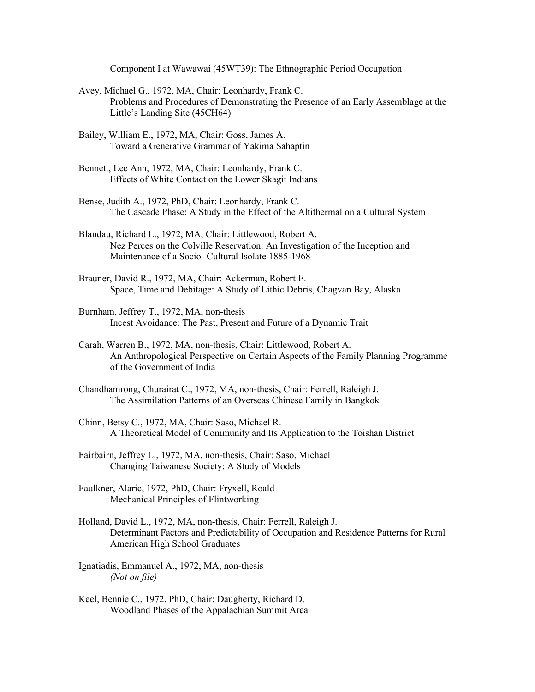Component I at Wawawai (45WT39): The Ethnographic Period Occupation

- Avey, Michael G., 1972, MA, Chair: Leonhardy, Frank C. Problems and Procedures of Demonstrating the Presence of an Early Assemblage at the Little's Landing Site (45CH64)
- Bailey, William E., 1972, MA, Chair: Goss, James A. Toward a Generative Grammar of Yakima Sahaptin
- Bennett, Lee Ann, 1972, MA, Chair: Leonhardy, Frank C. Effects of White Contact on the Lower Skagit Indians
- Bense, Judith A., 1972, PhD, Chair: Leonhardy, Frank C. The Cascade Phase: A Study in the Effect of the Altithermal on a Cultural System
- Blandau, Richard L., 1972, MA, Chair: Littlewood, Robert A. Nez Perces on the Colville Reservation: An Investigation of the Inception and Maintenance of a Socio- Cultural Isolate 1885-1968
- Brauner, David R., 1972, MA, Chair: Ackerman, Robert E. Space, Time and Debitage: A Study of Lithic Debris, Chagvan Bay, Alaska
- Burnham, Jeffrey T., 1972, MA, non-thesis Incest Avoidance: The Past, Present and Future of a Dynamic Trait
- Carah, Warren B., 1972, MA, non-thesis, Chair: Littlewood, Robert A. An Anthropological Perspective on Certain Aspects of the Family Planning Programme of the Government of India
- Chandhamrong, Churairat C., 1972, MA, non-thesis, Chair: Ferrell, Raleigh J. The Assimilation Patterns of an Overseas Chinese Family in Bangkok
- Chinn, Betsy C., 1972, MA, Chair: Saso, Michael R. A Theoretical Model of Community and Its Application to the Toishan District
- Fairbairn, Jeffrey L., 1972, MA, non-thesis, Chair: Saso, Michael Changing Taiwanese Society: A Study of Models
- Faulkner, Alaric, 1972, PhD, Chair: Fryxell, Roald Mechanical Principles of Flintworking
- Holland, David L., 1972, MA, non-thesis, Chair: Ferrell, Raleigh J. Determinant Factors and Predictability of Occupation and Residence Patterns for Rural American High School Graduates
- Ignatiadis, Emmanuel A., 1972, MA, non-thesis *(Not on file)*
- Keel, Bennie C., 1972, PhD, Chair: Daugherty, Richard D. Woodland Phases of the Appalachian Summit Area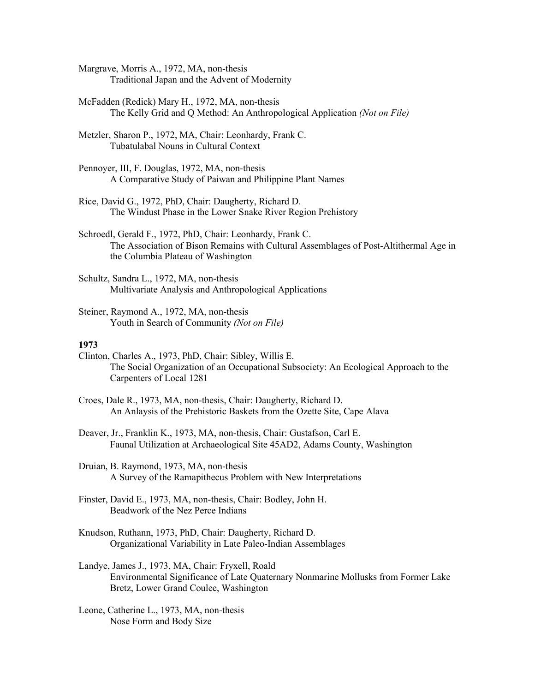- Margrave, Morris A., 1972, MA, non-thesis Traditional Japan and the Advent of Modernity
- McFadden (Redick) Mary H., 1972, MA, non-thesis The Kelly Grid and Q Method: An Anthropological Application *(Not on File)*
- Metzler, Sharon P., 1972, MA, Chair: Leonhardy, Frank C. Tubatulabal Nouns in Cultural Context
- Pennoyer, III, F. Douglas, 1972, MA, non-thesis A Comparative Study of Paiwan and Philippine Plant Names
- Rice, David G., 1972, PhD, Chair: Daugherty, Richard D. The Windust Phase in the Lower Snake River Region Prehistory
- Schroedl, Gerald F., 1972, PhD, Chair: Leonhardy, Frank C. The Association of Bison Remains with Cultural Assemblages of Post-Altithermal Age in the Columbia Plateau of Washington
- Schultz, Sandra L., 1972, MA, non-thesis Multivariate Analysis and Anthropological Applications
- Steiner, Raymond A., 1972, MA, non-thesis Youth in Search of Community *(Not on File)*

- Clinton, Charles A., 1973, PhD, Chair: Sibley, Willis E. The Social Organization of an Occupational Subsociety: An Ecological Approach to the Carpenters of Local 1281
- Croes, Dale R., 1973, MA, non-thesis, Chair: Daugherty, Richard D. An Anlaysis of the Prehistoric Baskets from the Ozette Site, Cape Alava
- Deaver, Jr., Franklin K., 1973, MA, non-thesis, Chair: Gustafson, Carl E. Faunal Utilization at Archaeological Site 45AD2, Adams County, Washington
- Druian, B. Raymond, 1973, MA, non-thesis A Survey of the Ramapithecus Problem with New Interpretations
- Finster, David E., 1973, MA, non-thesis, Chair: Bodley, John H. Beadwork of the Nez Perce Indians
- Knudson, Ruthann, 1973, PhD, Chair: Daugherty, Richard D. Organizational Variability in Late Paleo-Indian Assemblages
- Landye, James J., 1973, MA, Chair: Fryxell, Roald Environmental Significance of Late Quaternary Nonmarine Mollusks from Former Lake Bretz, Lower Grand Coulee, Washington
- Leone, Catherine L., 1973, MA, non-thesis Nose Form and Body Size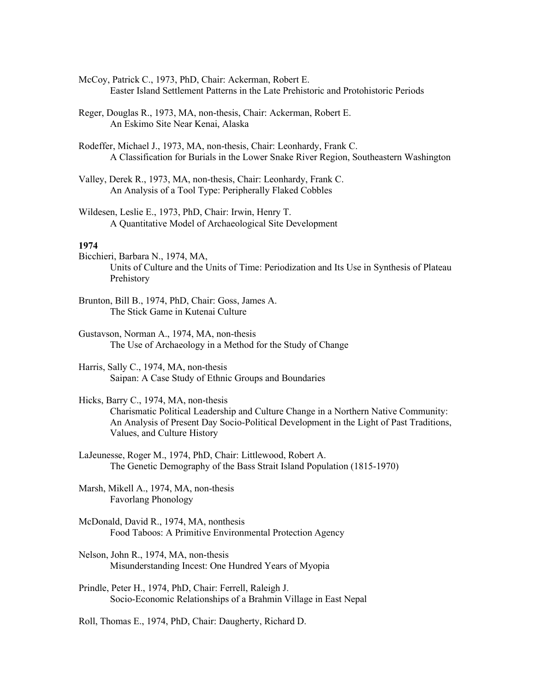- McCoy, Patrick C., 1973, PhD, Chair: Ackerman, Robert E. Easter Island Settlement Patterns in the Late Prehistoric and Protohistoric Periods
- Reger, Douglas R., 1973, MA, non-thesis, Chair: Ackerman, Robert E. An Eskimo Site Near Kenai, Alaska
- Rodeffer, Michael J., 1973, MA, non-thesis, Chair: Leonhardy, Frank C. A Classification for Burials in the Lower Snake River Region, Southeastern Washington
- Valley, Derek R., 1973, MA, non-thesis, Chair: Leonhardy, Frank C. An Analysis of a Tool Type: Peripherally Flaked Cobbles
- Wildesen, Leslie E., 1973, PhD, Chair: Irwin, Henry T. A Quantitative Model of Archaeological Site Development

- Bicchieri, Barbara N., 1974, MA, Units of Culture and the Units of Time: Periodization and Its Use in Synthesis of Plateau Prehistory
- Brunton, Bill B., 1974, PhD, Chair: Goss, James A. The Stick Game in Kutenai Culture
- Gustavson, Norman A., 1974, MA, non-thesis The Use of Archaeology in a Method for the Study of Change
- Harris, Sally C., 1974, MA, non-thesis Saipan: A Case Study of Ethnic Groups and Boundaries
- Hicks, Barry C., 1974, MA, non-thesis Charismatic Political Leadership and Culture Change in a Northern Native Community: An Analysis of Present Day Socio-Political Development in the Light of Past Traditions, Values, and Culture History
- LaJeunesse, Roger M., 1974, PhD, Chair: Littlewood, Robert A. The Genetic Demography of the Bass Strait Island Population (1815-1970)
- Marsh, Mikell A., 1974, MA, non-thesis Favorlang Phonology
- McDonald, David R., 1974, MA, nonthesis Food Taboos: A Primitive Environmental Protection Agency
- Nelson, John R., 1974, MA, non-thesis Misunderstanding Incest: One Hundred Years of Myopia
- Prindle, Peter H., 1974, PhD, Chair: Ferrell, Raleigh J. Socio-Economic Relationships of a Brahmin Village in East Nepal

Roll, Thomas E., 1974, PhD, Chair: Daugherty, Richard D.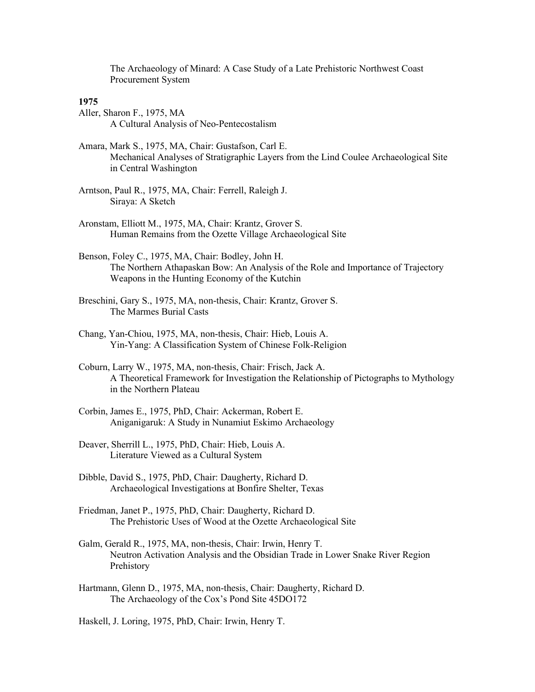The Archaeology of Minard: A Case Study of a Late Prehistoric Northwest Coast Procurement System

## **1975**

- Aller, Sharon F., 1975, MA A Cultural Analysis of Neo-Pentecostalism
- Amara, Mark S., 1975, MA, Chair: Gustafson, Carl E. Mechanical Analyses of Stratigraphic Layers from the Lind Coulee Archaeological Site in Central Washington
- Arntson, Paul R., 1975, MA, Chair: Ferrell, Raleigh J. Siraya: A Sketch
- Aronstam, Elliott M., 1975, MA, Chair: Krantz, Grover S. Human Remains from the Ozette Village Archaeological Site
- Benson, Foley C., 1975, MA, Chair: Bodley, John H. The Northern Athapaskan Bow: An Analysis of the Role and Importance of Trajectory Weapons in the Hunting Economy of the Kutchin
- Breschini, Gary S., 1975, MA, non-thesis, Chair: Krantz, Grover S. The Marmes Burial Casts
- Chang, Yan-Chiou, 1975, MA, non-thesis, Chair: Hieb, Louis A. Yin-Yang: A Classification System of Chinese Folk-Religion
- Coburn, Larry W., 1975, MA, non-thesis, Chair: Frisch, Jack A. A Theoretical Framework for Investigation the Relationship of Pictographs to Mythology in the Northern Plateau
- Corbin, James E., 1975, PhD, Chair: Ackerman, Robert E. Aniganigaruk: A Study in Nunamiut Eskimo Archaeology
- Deaver, Sherrill L., 1975, PhD, Chair: Hieb, Louis A. Literature Viewed as a Cultural System
- Dibble, David S., 1975, PhD, Chair: Daugherty, Richard D. Archaeological Investigations at Bonfire Shelter, Texas
- Friedman, Janet P., 1975, PhD, Chair: Daugherty, Richard D. The Prehistoric Uses of Wood at the Ozette Archaeological Site
- Galm, Gerald R., 1975, MA, non-thesis, Chair: Irwin, Henry T. Neutron Activation Analysis and the Obsidian Trade in Lower Snake River Region Prehistory
- Hartmann, Glenn D., 1975, MA, non-thesis, Chair: Daugherty, Richard D. The Archaeology of the Cox's Pond Site 45DO172

Haskell, J. Loring, 1975, PhD, Chair: Irwin, Henry T.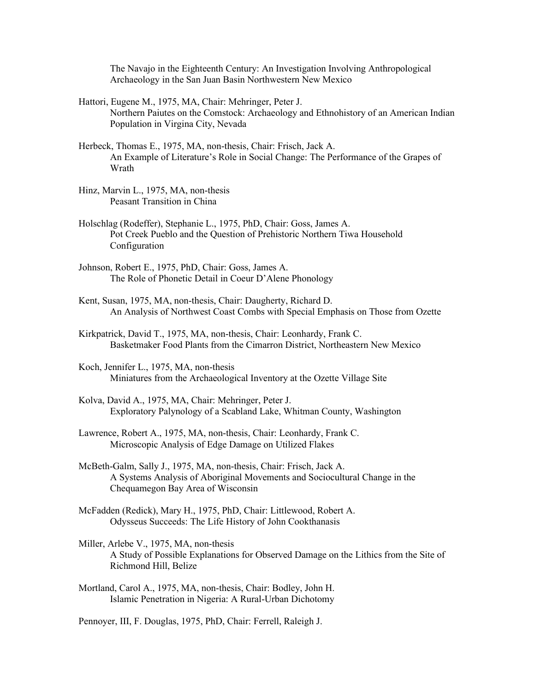The Navajo in the Eighteenth Century: An Investigation Involving Anthropological Archaeology in the San Juan Basin Northwestern New Mexico

Hattori, Eugene M., 1975, MA, Chair: Mehringer, Peter J. Northern Paiutes on the Comstock: Archaeology and Ethnohistory of an American Indian Population in Virgina City, Nevada

- Herbeck, Thomas E., 1975, MA, non-thesis, Chair: Frisch, Jack A. An Example of Literature's Role in Social Change: The Performance of the Grapes of Wrath
- Hinz, Marvin L., 1975, MA, non-thesis Peasant Transition in China
- Holschlag (Rodeffer), Stephanie L., 1975, PhD, Chair: Goss, James A. Pot Creek Pueblo and the Question of Prehistoric Northern Tiwa Household Configuration
- Johnson, Robert E., 1975, PhD, Chair: Goss, James A. The Role of Phonetic Detail in Coeur D'Alene Phonology
- Kent, Susan, 1975, MA, non-thesis, Chair: Daugherty, Richard D. An Analysis of Northwest Coast Combs with Special Emphasis on Those from Ozette
- Kirkpatrick, David T., 1975, MA, non-thesis, Chair: Leonhardy, Frank C. Basketmaker Food Plants from the Cimarron District, Northeastern New Mexico
- Koch, Jennifer L., 1975, MA, non-thesis Miniatures from the Archaeological Inventory at the Ozette Village Site
- Kolva, David A., 1975, MA, Chair: Mehringer, Peter J. Exploratory Palynology of a Scabland Lake, Whitman County, Washington
- Lawrence, Robert A., 1975, MA, non-thesis, Chair: Leonhardy, Frank C. Microscopic Analysis of Edge Damage on Utilized Flakes
- McBeth-Galm, Sally J., 1975, MA, non-thesis, Chair: Frisch, Jack A. A Systems Analysis of Aboriginal Movements and Sociocultural Change in the Chequamegon Bay Area of Wisconsin
- McFadden (Redick), Mary H., 1975, PhD, Chair: Littlewood, Robert A. Odysseus Succeeds: The Life History of John Cookthanasis
- Miller, Arlebe V., 1975, MA, non-thesis A Study of Possible Explanations for Observed Damage on the Lithics from the Site of Richmond Hill, Belize
- Mortland, Carol A., 1975, MA, non-thesis, Chair: Bodley, John H. Islamic Penetration in Nigeria: A Rural-Urban Dichotomy

Pennoyer, III, F. Douglas, 1975, PhD, Chair: Ferrell, Raleigh J.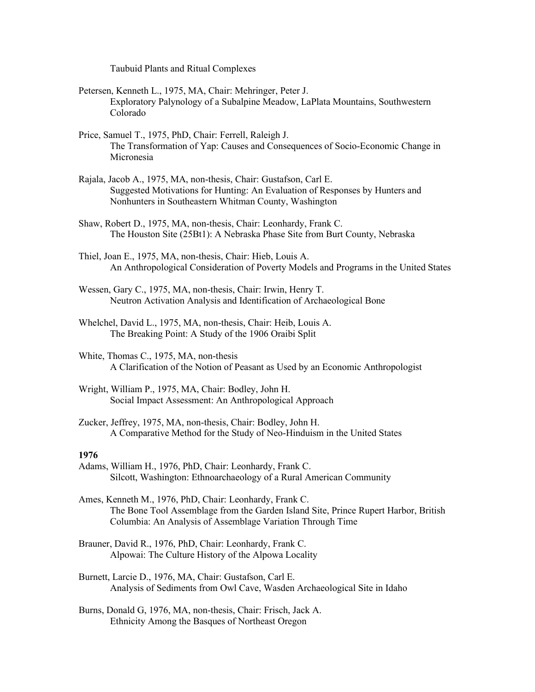Taubuid Plants and Ritual Complexes

- Petersen, Kenneth L., 1975, MA, Chair: Mehringer, Peter J. Exploratory Palynology of a Subalpine Meadow, LaPlata Mountains, Southwestern Colorado
- Price, Samuel T., 1975, PhD, Chair: Ferrell, Raleigh J. The Transformation of Yap: Causes and Consequences of Socio-Economic Change in Micronesia
- Rajala, Jacob A., 1975, MA, non-thesis, Chair: Gustafson, Carl E. Suggested Motivations for Hunting: An Evaluation of Responses by Hunters and Nonhunters in Southeastern Whitman County, Washington
- Shaw, Robert D., 1975, MA, non-thesis, Chair: Leonhardy, Frank C. The Houston Site (25Bt1): A Nebraska Phase Site from Burt County, Nebraska
- Thiel, Joan E., 1975, MA, non-thesis, Chair: Hieb, Louis A. An Anthropological Consideration of Poverty Models and Programs in the United States
- Wessen, Gary C., 1975, MA, non-thesis, Chair: Irwin, Henry T. Neutron Activation Analysis and Identification of Archaeological Bone
- Whelchel, David L., 1975, MA, non-thesis, Chair: Heib, Louis A. The Breaking Point: A Study of the 1906 Oraibi Split
- White, Thomas C., 1975, MA, non-thesis A Clarification of the Notion of Peasant as Used by an Economic Anthropologist
- Wright, William P., 1975, MA, Chair: Bodley, John H. Social Impact Assessment: An Anthropological Approach
- Zucker, Jeffrey, 1975, MA, non-thesis, Chair: Bodley, John H. A Comparative Method for the Study of Neo-Hinduism in the United States

#### **1976**

Adams, William H., 1976, PhD, Chair: Leonhardy, Frank C. Silcott, Washington: Ethnoarchaeology of a Rural American Community

Ames, Kenneth M., 1976, PhD, Chair: Leonhardy, Frank C. The Bone Tool Assemblage from the Garden Island Site, Prince Rupert Harbor, British Columbia: An Analysis of Assemblage Variation Through Time

- Brauner, David R., 1976, PhD, Chair: Leonhardy, Frank C. Alpowai: The Culture History of the Alpowa Locality
- Burnett, Larcie D., 1976, MA, Chair: Gustafson, Carl E. Analysis of Sediments from Owl Cave, Wasden Archaeological Site in Idaho
- Burns, Donald G, 1976, MA, non-thesis, Chair: Frisch, Jack A. Ethnicity Among the Basques of Northeast Oregon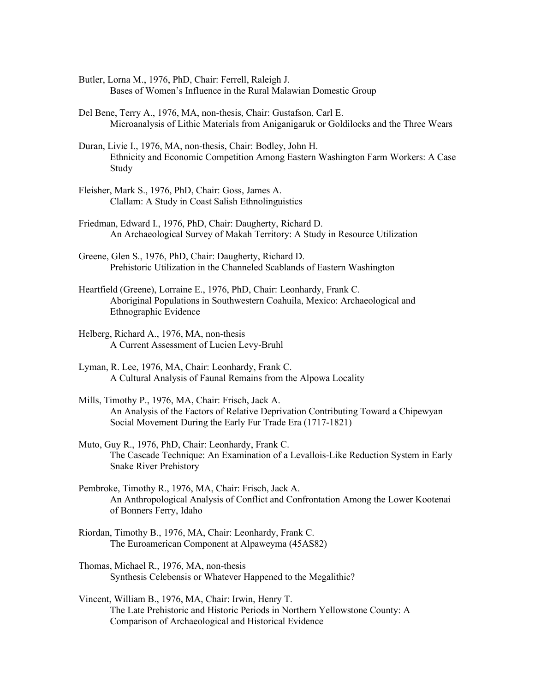- Butler, Lorna M., 1976, PhD, Chair: Ferrell, Raleigh J. Bases of Women's Influence in the Rural Malawian Domestic Group
- Del Bene, Terry A., 1976, MA, non-thesis, Chair: Gustafson, Carl E. Microanalysis of Lithic Materials from Aniganigaruk or Goldilocks and the Three Wears
- Duran, Livie I., 1976, MA, non-thesis, Chair: Bodley, John H. Ethnicity and Economic Competition Among Eastern Washington Farm Workers: A Case Study
- Fleisher, Mark S., 1976, PhD, Chair: Goss, James A. Clallam: A Study in Coast Salish Ethnolinguistics
- Friedman, Edward I., 1976, PhD, Chair: Daugherty, Richard D. An Archaeological Survey of Makah Territory: A Study in Resource Utilization
- Greene, Glen S., 1976, PhD, Chair: Daugherty, Richard D. Prehistoric Utilization in the Channeled Scablands of Eastern Washington
- Heartfield (Greene), Lorraine E., 1976, PhD, Chair: Leonhardy, Frank C. Aboriginal Populations in Southwestern Coahuila, Mexico: Archaeological and Ethnographic Evidence
- Helberg, Richard A., 1976, MA, non-thesis A Current Assessment of Lucien Levy-Bruhl
- Lyman, R. Lee, 1976, MA, Chair: Leonhardy, Frank C. A Cultural Analysis of Faunal Remains from the Alpowa Locality
- Mills, Timothy P., 1976, MA, Chair: Frisch, Jack A. An Analysis of the Factors of Relative Deprivation Contributing Toward a Chipewyan Social Movement During the Early Fur Trade Era (1717-1821)
- Muto, Guy R., 1976, PhD, Chair: Leonhardy, Frank C. The Cascade Technique: An Examination of a Levallois-Like Reduction System in Early Snake River Prehistory
- Pembroke, Timothy R., 1976, MA, Chair: Frisch, Jack A. An Anthropological Analysis of Conflict and Confrontation Among the Lower Kootenai of Bonners Ferry, Idaho
- Riordan, Timothy B., 1976, MA, Chair: Leonhardy, Frank C. The Euroamerican Component at Alpaweyma (45AS82)
- Thomas, Michael R., 1976, MA, non-thesis Synthesis Celebensis or Whatever Happened to the Megalithic?
- Vincent, William B., 1976, MA, Chair: Irwin, Henry T. The Late Prehistoric and Historic Periods in Northern Yellowstone County: A Comparison of Archaeological and Historical Evidence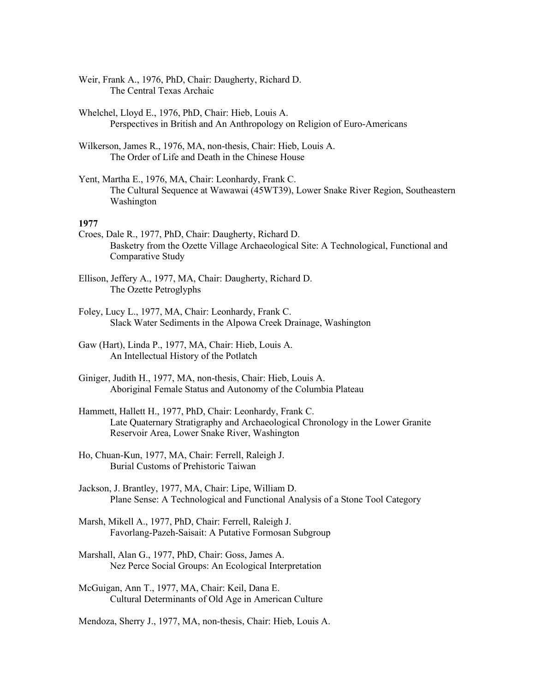Weir, Frank A., 1976, PhD, Chair: Daugherty, Richard D. The Central Texas Archaic

Whelchel, Lloyd E., 1976, PhD, Chair: Hieb, Louis A. Perspectives in British and An Anthropology on Religion of Euro-Americans

Wilkerson, James R., 1976, MA, non-thesis, Chair: Hieb, Louis A. The Order of Life and Death in the Chinese House

Yent, Martha E., 1976, MA, Chair: Leonhardy, Frank C. The Cultural Sequence at Wawawai (45WT39), Lower Snake River Region, Southeastern Washington

#### **1977**

- Croes, Dale R., 1977, PhD, Chair: Daugherty, Richard D. Basketry from the Ozette Village Archaeological Site: A Technological, Functional and Comparative Study
- Ellison, Jeffery A., 1977, MA, Chair: Daugherty, Richard D. The Ozette Petroglyphs
- Foley, Lucy L., 1977, MA, Chair: Leonhardy, Frank C. Slack Water Sediments in the Alpowa Creek Drainage, Washington

Gaw (Hart), Linda P., 1977, MA, Chair: Hieb, Louis A. An Intellectual History of the Potlatch

- Giniger, Judith H., 1977, MA, non-thesis, Chair: Hieb, Louis A. Aboriginal Female Status and Autonomy of the Columbia Plateau
- Hammett, Hallett H., 1977, PhD, Chair: Leonhardy, Frank C. Late Quaternary Stratigraphy and Archaeological Chronology in the Lower Granite Reservoir Area, Lower Snake River, Washington
- Ho, Chuan-Kun, 1977, MA, Chair: Ferrell, Raleigh J. Burial Customs of Prehistoric Taiwan
- Jackson, J. Brantley, 1977, MA, Chair: Lipe, William D. Plane Sense: A Technological and Functional Analysis of a Stone Tool Category
- Marsh, Mikell A., 1977, PhD, Chair: Ferrell, Raleigh J. Favorlang-Pazeh-Saisait: A Putative Formosan Subgroup
- Marshall, Alan G., 1977, PhD, Chair: Goss, James A. Nez Perce Social Groups: An Ecological Interpretation

McGuigan, Ann T., 1977, MA, Chair: Keil, Dana E. Cultural Determinants of Old Age in American Culture

Mendoza, Sherry J., 1977, MA, non-thesis, Chair: Hieb, Louis A.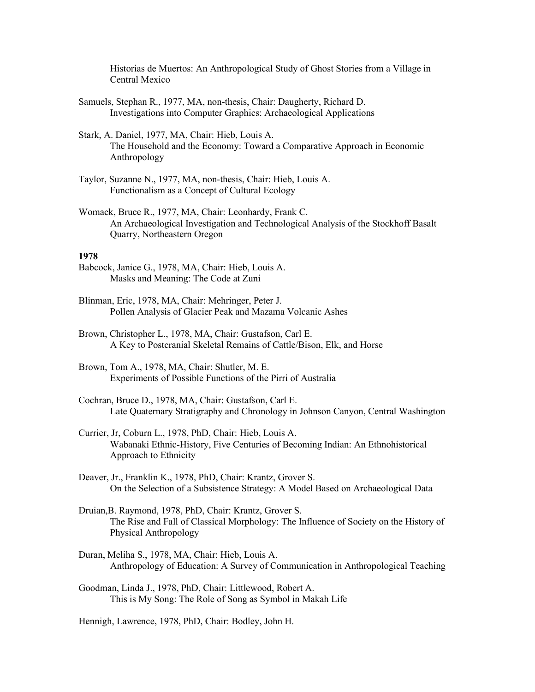Historias de Muertos: An Anthropological Study of Ghost Stories from a Village in Central Mexico

- Samuels, Stephan R., 1977, MA, non-thesis, Chair: Daugherty, Richard D. Investigations into Computer Graphics: Archaeological Applications
- Stark, A. Daniel, 1977, MA, Chair: Hieb, Louis A. The Household and the Economy: Toward a Comparative Approach in Economic Anthropology
- Taylor, Suzanne N., 1977, MA, non-thesis, Chair: Hieb, Louis A. Functionalism as a Concept of Cultural Ecology
- Womack, Bruce R., 1977, MA, Chair: Leonhardy, Frank C. An Archaeological Investigation and Technological Analysis of the Stockhoff Basalt Quarry, Northeastern Oregon

#### **1978**

- Babcock, Janice G., 1978, MA, Chair: Hieb, Louis A. Masks and Meaning: The Code at Zuni
- Blinman, Eric, 1978, MA, Chair: Mehringer, Peter J. Pollen Analysis of Glacier Peak and Mazama Volcanic Ashes
- Brown, Christopher L., 1978, MA, Chair: Gustafson, Carl E. A Key to Postcranial Skeletal Remains of Cattle/Bison, Elk, and Horse
- Brown, Tom A., 1978, MA, Chair: Shutler, M. E. Experiments of Possible Functions of the Pirri of Australia
- Cochran, Bruce D., 1978, MA, Chair: Gustafson, Carl E. Late Quaternary Stratigraphy and Chronology in Johnson Canyon, Central Washington
- Currier, Jr, Coburn L., 1978, PhD, Chair: Hieb, Louis A. Wabanaki Ethnic-History, Five Centuries of Becoming Indian: An Ethnohistorical Approach to Ethnicity
- Deaver, Jr., Franklin K., 1978, PhD, Chair: Krantz, Grover S. On the Selection of a Subsistence Strategy: A Model Based on Archaeological Data
- Druian,B. Raymond, 1978, PhD, Chair: Krantz, Grover S. The Rise and Fall of Classical Morphology: The Influence of Society on the History of Physical Anthropology
- Duran, Meliha S., 1978, MA, Chair: Hieb, Louis A. Anthropology of Education: A Survey of Communication in Anthropological Teaching
- Goodman, Linda J., 1978, PhD, Chair: Littlewood, Robert A. This is My Song: The Role of Song as Symbol in Makah Life

Hennigh, Lawrence, 1978, PhD, Chair: Bodley, John H.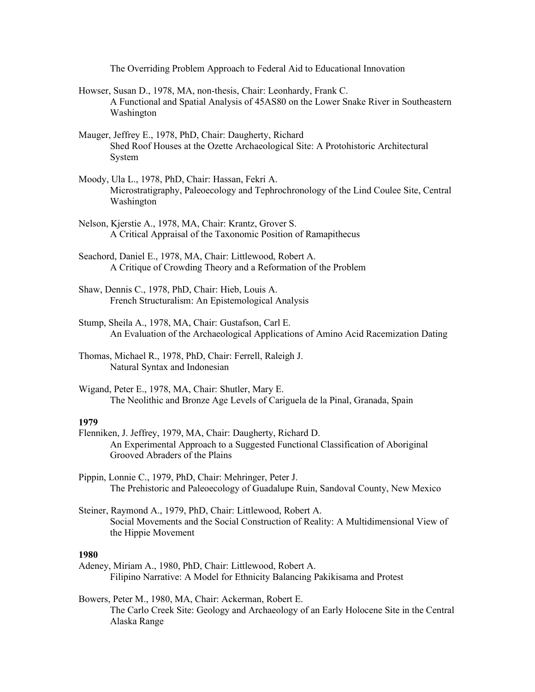The Overriding Problem Approach to Federal Aid to Educational Innovation

- Howser, Susan D., 1978, MA, non-thesis, Chair: Leonhardy, Frank C. A Functional and Spatial Analysis of 45AS80 on the Lower Snake River in Southeastern Washington
- Mauger, Jeffrey E., 1978, PhD, Chair: Daugherty, Richard Shed Roof Houses at the Ozette Archaeological Site: A Protohistoric Architectural System
- Moody, Ula L., 1978, PhD, Chair: Hassan, Fekri A. Microstratigraphy, Paleoecology and Tephrochronology of the Lind Coulee Site, Central Washington
- Nelson, Kjerstie A., 1978, MA, Chair: Krantz, Grover S. A Critical Appraisal of the Taxonomic Position of Ramapithecus
- Seachord, Daniel E., 1978, MA, Chair: Littlewood, Robert A. A Critique of Crowding Theory and a Reformation of the Problem
- Shaw, Dennis C., 1978, PhD, Chair: Hieb, Louis A. French Structuralism: An Epistemological Analysis
- Stump, Sheila A., 1978, MA, Chair: Gustafson, Carl E. An Evaluation of the Archaeological Applications of Amino Acid Racemization Dating
- Thomas, Michael R., 1978, PhD, Chair: Ferrell, Raleigh J. Natural Syntax and Indonesian
- Wigand, Peter E., 1978, MA, Chair: Shutler, Mary E. The Neolithic and Bronze Age Levels of Cariguela de la Pinal, Granada, Spain

#### **1979**

- Flenniken, J. Jeffrey, 1979, MA, Chair: Daugherty, Richard D. An Experimental Approach to a Suggested Functional Classification of Aboriginal Grooved Abraders of the Plains
- Pippin, Lonnie C., 1979, PhD, Chair: Mehringer, Peter J. The Prehistoric and Paleoecology of Guadalupe Ruin, Sandoval County, New Mexico
- Steiner, Raymond A., 1979, PhD, Chair: Littlewood, Robert A. Social Movements and the Social Construction of Reality: A Multidimensional View of the Hippie Movement

- Adeney, Miriam A., 1980, PhD, Chair: Littlewood, Robert A. Filipino Narrative: A Model for Ethnicity Balancing Pakikisama and Protest
- Bowers, Peter M., 1980, MA, Chair: Ackerman, Robert E. The Carlo Creek Site: Geology and Archaeology of an Early Holocene Site in the Central Alaska Range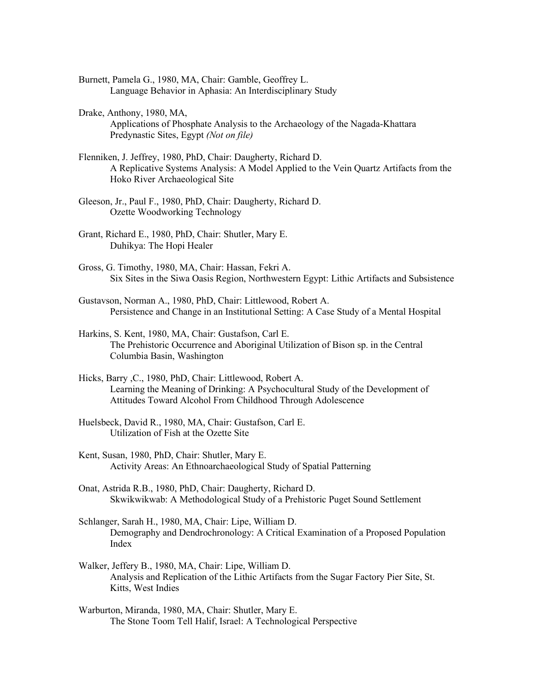Burnett, Pamela G., 1980, MA, Chair: Gamble, Geoffrey L. Language Behavior in Aphasia: An Interdisciplinary Study

- Drake, Anthony, 1980, MA, Applications of Phosphate Analysis to the Archaeology of the Nagada-Khattara Predynastic Sites, Egypt *(Not on file)*
- Flenniken, J. Jeffrey, 1980, PhD, Chair: Daugherty, Richard D. A Replicative Systems Analysis: A Model Applied to the Vein Quartz Artifacts from the Hoko River Archaeological Site
- Gleeson, Jr., Paul F., 1980, PhD, Chair: Daugherty, Richard D. Ozette Woodworking Technology
- Grant, Richard E., 1980, PhD, Chair: Shutler, Mary E. Duhikya: The Hopi Healer
- Gross, G. Timothy, 1980, MA, Chair: Hassan, Fekri A. Six Sites in the Siwa Oasis Region, Northwestern Egypt: Lithic Artifacts and Subsistence
- Gustavson, Norman A., 1980, PhD, Chair: Littlewood, Robert A. Persistence and Change in an Institutional Setting: A Case Study of a Mental Hospital
- Harkins, S. Kent, 1980, MA, Chair: Gustafson, Carl E. The Prehistoric Occurrence and Aboriginal Utilization of Bison sp. in the Central Columbia Basin, Washington
- Hicks, Barry ,C., 1980, PhD, Chair: Littlewood, Robert A. Learning the Meaning of Drinking: A Psychocultural Study of the Development of Attitudes Toward Alcohol From Childhood Through Adolescence
- Huelsbeck, David R., 1980, MA, Chair: Gustafson, Carl E. Utilization of Fish at the Ozette Site
- Kent, Susan, 1980, PhD, Chair: Shutler, Mary E. Activity Areas: An Ethnoarchaeological Study of Spatial Patterning
- Onat, Astrida R.B., 1980, PhD, Chair: Daugherty, Richard D. Skwikwikwab: A Methodological Study of a Prehistoric Puget Sound Settlement
- Schlanger, Sarah H., 1980, MA, Chair: Lipe, William D. Demography and Dendrochronology: A Critical Examination of a Proposed Population Index
- Walker, Jeffery B., 1980, MA, Chair: Lipe, William D. Analysis and Replication of the Lithic Artifacts from the Sugar Factory Pier Site, St. Kitts, West Indies
- Warburton, Miranda, 1980, MA, Chair: Shutler, Mary E. The Stone Toom Tell Halif, Israel: A Technological Perspective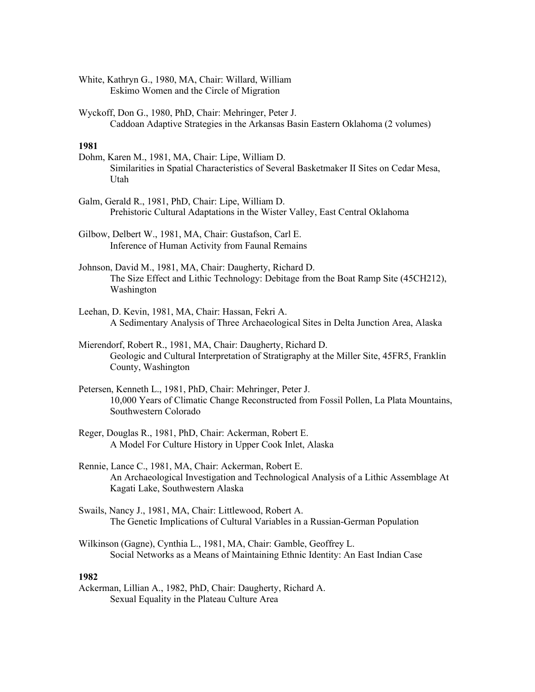White, Kathryn G., 1980, MA, Chair: Willard, William Eskimo Women and the Circle of Migration

Wyckoff, Don G., 1980, PhD, Chair: Mehringer, Peter J. Caddoan Adaptive Strategies in the Arkansas Basin Eastern Oklahoma (2 volumes)

# **1981**

- Dohm, Karen M., 1981, MA, Chair: Lipe, William D. Similarities in Spatial Characteristics of Several Basketmaker II Sites on Cedar Mesa, Utah
- Galm, Gerald R., 1981, PhD, Chair: Lipe, William D. Prehistoric Cultural Adaptations in the Wister Valley, East Central Oklahoma

Gilbow, Delbert W., 1981, MA, Chair: Gustafson, Carl E. Inference of Human Activity from Faunal Remains

- Johnson, David M., 1981, MA, Chair: Daugherty, Richard D. The Size Effect and Lithic Technology: Debitage from the Boat Ramp Site (45CH212), Washington
- Leehan, D. Kevin, 1981, MA, Chair: Hassan, Fekri A. A Sedimentary Analysis of Three Archaeological Sites in Delta Junction Area, Alaska

Mierendorf, Robert R., 1981, MA, Chair: Daugherty, Richard D. Geologic and Cultural Interpretation of Stratigraphy at the Miller Site, 45FR5, Franklin County, Washington

- Petersen, Kenneth L., 1981, PhD, Chair: Mehringer, Peter J. 10,000 Years of Climatic Change Reconstructed from Fossil Pollen, La Plata Mountains, Southwestern Colorado
- Reger, Douglas R., 1981, PhD, Chair: Ackerman, Robert E. A Model For Culture History in Upper Cook Inlet, Alaska
- Rennie, Lance C., 1981, MA, Chair: Ackerman, Robert E. An Archaeological Investigation and Technological Analysis of a Lithic Assemblage At Kagati Lake, Southwestern Alaska
- Swails, Nancy J., 1981, MA, Chair: Littlewood, Robert A. The Genetic Implications of Cultural Variables in a Russian-German Population
- Wilkinson (Gagne), Cynthia L., 1981, MA, Chair: Gamble, Geoffrey L. Social Networks as a Means of Maintaining Ethnic Identity: An East Indian Case

## **1982**

Ackerman, Lillian A., 1982, PhD, Chair: Daugherty, Richard A. Sexual Equality in the Plateau Culture Area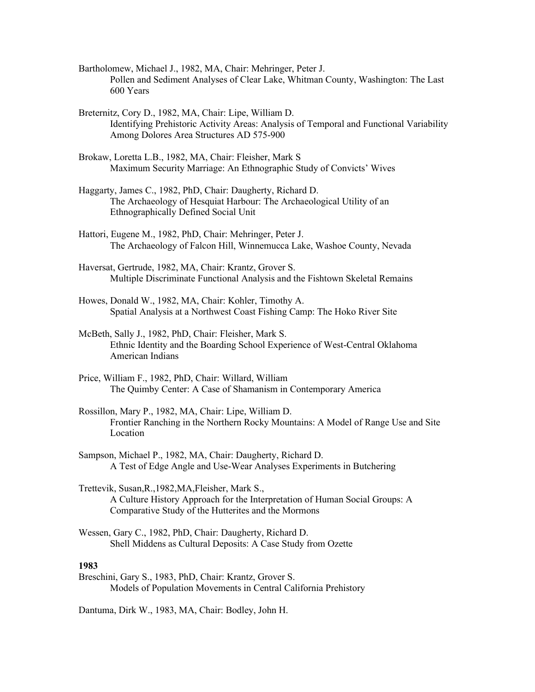- Bartholomew, Michael J., 1982, MA, Chair: Mehringer, Peter J. Pollen and Sediment Analyses of Clear Lake, Whitman County, Washington: The Last 600 Years
- Breternitz, Cory D., 1982, MA, Chair: Lipe, William D. Identifying Prehistoric Activity Areas: Analysis of Temporal and Functional Variability Among Dolores Area Structures AD 575-900
- Brokaw, Loretta L.B., 1982, MA, Chair: Fleisher, Mark S Maximum Security Marriage: An Ethnographic Study of Convicts' Wives
- Haggarty, James C., 1982, PhD, Chair: Daugherty, Richard D. The Archaeology of Hesquiat Harbour: The Archaeological Utility of an Ethnographically Defined Social Unit
- Hattori, Eugene M., 1982, PhD, Chair: Mehringer, Peter J. The Archaeology of Falcon Hill, Winnemucca Lake, Washoe County, Nevada
- Haversat, Gertrude, 1982, MA, Chair: Krantz, Grover S. Multiple Discriminate Functional Analysis and the Fishtown Skeletal Remains
- Howes, Donald W., 1982, MA, Chair: Kohler, Timothy A. Spatial Analysis at a Northwest Coast Fishing Camp: The Hoko River Site
- McBeth, Sally J., 1982, PhD, Chair: Fleisher, Mark S. Ethnic Identity and the Boarding School Experience of West-Central Oklahoma American Indians
- Price, William F., 1982, PhD, Chair: Willard, William The Quimby Center: A Case of Shamanism in Contemporary America
- Rossillon, Mary P., 1982, MA, Chair: Lipe, William D. Frontier Ranching in the Northern Rocky Mountains: A Model of Range Use and Site Location
- Sampson, Michael P., 1982, MA, Chair: Daugherty, Richard D. A Test of Edge Angle and Use-Wear Analyses Experiments in Butchering
- Trettevik, Susan,R.,1982,MA,Fleisher, Mark S., A Culture History Approach for the Interpretation of Human Social Groups: A Comparative Study of the Hutterites and the Mormons
- Wessen, Gary C., 1982, PhD, Chair: Daugherty, Richard D. Shell Middens as Cultural Deposits: A Case Study from Ozette

Breschini, Gary S., 1983, PhD, Chair: Krantz, Grover S. Models of Population Movements in Central California Prehistory

Dantuma, Dirk W., 1983, MA, Chair: Bodley, John H.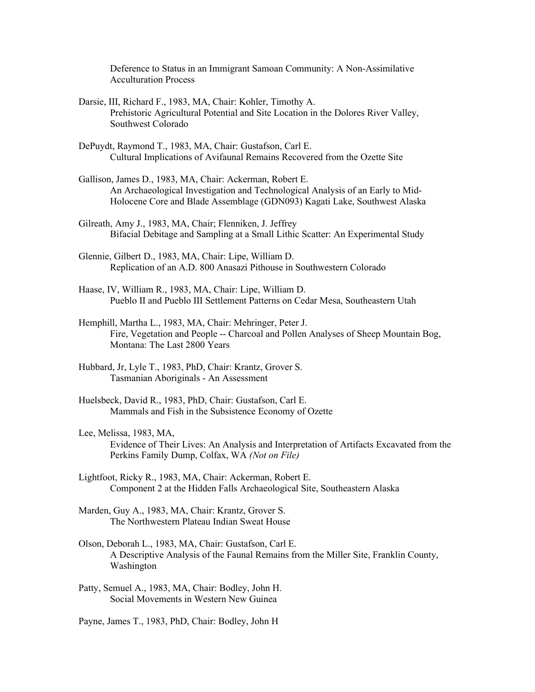Deference to Status in an Immigrant Samoan Community: A Non-Assimilative Acculturation Process

- Darsie, III, Richard F., 1983, MA, Chair: Kohler, Timothy A. Prehistoric Agricultural Potential and Site Location in the Dolores River Valley, Southwest Colorado
- DePuydt, Raymond T., 1983, MA, Chair: Gustafson, Carl E. Cultural Implications of Avifaunal Remains Recovered from the Ozette Site
- Gallison, James D., 1983, MA, Chair: Ackerman, Robert E. An Archaeological Investigation and Technological Analysis of an Early to Mid-Holocene Core and Blade Assemblage (GDN093) Kagati Lake, Southwest Alaska
- Gilreath, Amy J., 1983, MA, Chair; Flenniken, J. Jeffrey Bifacial Debitage and Sampling at a Small Lithic Scatter: An Experimental Study
- Glennie, Gilbert D., 1983, MA, Chair: Lipe, William D. Replication of an A.D. 800 Anasazi Pithouse in Southwestern Colorado
- Haase, IV, William R., 1983, MA, Chair: Lipe, William D. Pueblo II and Pueblo III Settlement Patterns on Cedar Mesa, Southeastern Utah
- Hemphill, Martha L., 1983, MA, Chair: Mehringer, Peter J. Fire, Vegetation and People -- Charcoal and Pollen Analyses of Sheep Mountain Bog, Montana: The Last 2800 Years
- Hubbard, Jr, Lyle T., 1983, PhD, Chair: Krantz, Grover S. Tasmanian Aboriginals - An Assessment
- Huelsbeck, David R., 1983, PhD, Chair: Gustafson, Carl E. Mammals and Fish in the Subsistence Economy of Ozette
- Lee, Melissa, 1983, MA, Evidence of Their Lives: An Analysis and Interpretation of Artifacts Excavated from the Perkins Family Dump, Colfax, WA *(Not on File)*
- Lightfoot, Ricky R., 1983, MA, Chair: Ackerman, Robert E. Component 2 at the Hidden Falls Archaeological Site, Southeastern Alaska
- Marden, Guy A., 1983, MA, Chair: Krantz, Grover S. The Northwestern Plateau Indian Sweat House
- Olson, Deborah L., 1983, MA, Chair: Gustafson, Carl E. A Descriptive Analysis of the Faunal Remains from the Miller Site, Franklin County, Washington
- Patty, Semuel A., 1983, MA, Chair: Bodley, John H. Social Movements in Western New Guinea
- Payne, James T., 1983, PhD, Chair: Bodley, John H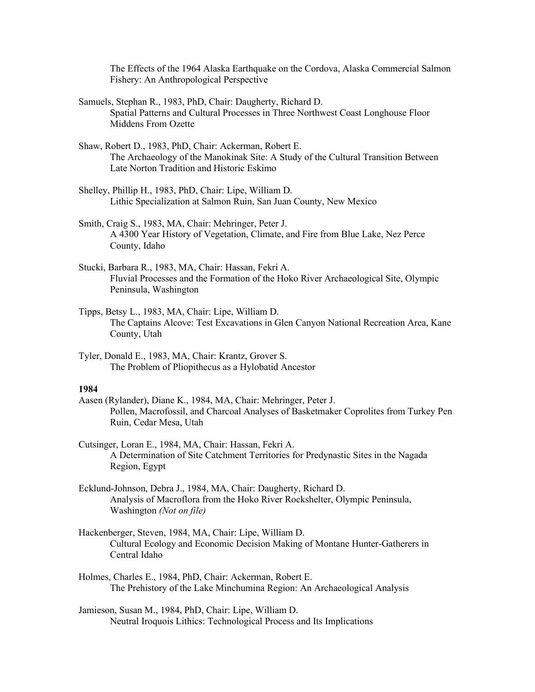The Effects of the 1964 Alaska Earthquake on the Cordova, Alaska Commercial Salmon Fishery: An Anthropological Perspective

Samuels, Stephan R., 1983, PhD, Chair: Daugherty, Richard D. Spatial Patterns and Cultural Processes in Three Northwest Coast Longhouse Floor Middens From Ozette

- Shaw, Robert D., 1983, PhD, Chair: Ackerman, Robert E. The Archaeology of the Manokinak Site: A Study of the Cultural Transition Between Late Norton Tradition and Historic Eskimo
- Shelley, Phillip H., 1983, PhD, Chair: Lipe, William D. Lithic Specialization at Salmon Ruin, San Juan County, New Mexico
- Smith, Craig S., 1983, MA, Chair: Mehringer, Peter J. A 4300 Year History of Vegetation, Climate, and Fire from Blue Lake, Nez Perce County, Idaho
- Stucki, Barbara R., 1983, MA, Chair: Hassan, Fekri A. Fluvial Processes and the Formation of the Hoko River Archaeological Site, Olympic Peninsula, Washington
- Tipps, Betsy L., 1983, MA, Chair: Lipe, William D. The Captains Alcove: Test Excavations in Glen Canyon National Recreation Area, Kane County, Utah
- Tyler, Donald E., 1983, MA, Chair: Krantz, Grover S. The Problem of Pliopithecus as a Hylobatid Ancestor

- Aasen (Rylander), Diane K., 1984, MA, Chair: Mehringer, Peter J. Pollen, Macrofossil, and Charcoal Analyses of Basketmaker Coprolites from Turkey Pen Ruin, Cedar Mesa, Utah
- Cutsinger, Loran E., 1984, MA, Chair: Hassan, Fekri A. A Determination of Site Catchment Territories for Predynastic Sites in the Nagada Region, Egypt
- Ecklund-Johnson, Debra J., 1984, MA, Chair: Daugherty, Richard D. Analysis of Macroflora from the Hoko River Rockshelter, Olympic Peninsula, Washington *(Not on file)*
- Hackenberger, Steven, 1984, MA, Chair: Lipe, William D. Cultural Ecology and Economic Decision Making of Montane Hunter-Gatherers in Central Idaho
- Holmes, Charles E., 1984, PhD, Chair: Ackerman, Robert E. The Prehistory of the Lake Minchumina Region: An Archaeological Analysis
- Jamieson, Susan M., 1984, PhD, Chair: Lipe, William D. Neutral Iroquois Lithics: Technological Process and Its Implications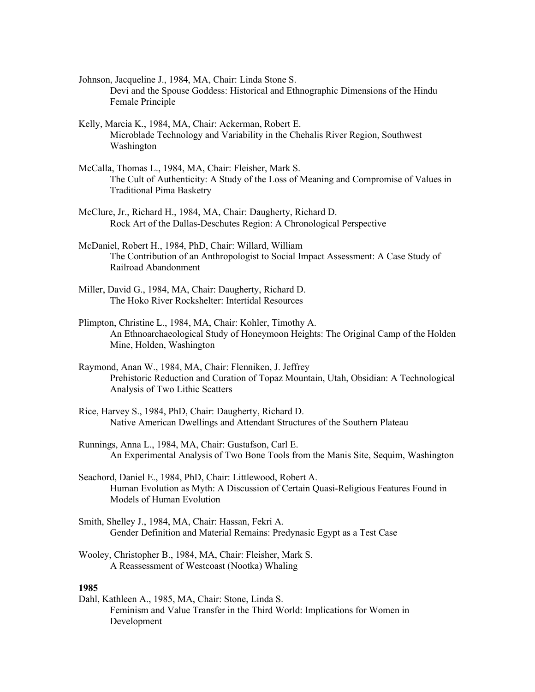- Johnson, Jacqueline J., 1984, MA, Chair: Linda Stone S. Devi and the Spouse Goddess: Historical and Ethnographic Dimensions of the Hindu Female Principle
- Kelly, Marcia K., 1984, MA, Chair: Ackerman, Robert E. Microblade Technology and Variability in the Chehalis River Region, Southwest Washington
- McCalla, Thomas L., 1984, MA, Chair: Fleisher, Mark S. The Cult of Authenticity: A Study of the Loss of Meaning and Compromise of Values in Traditional Pima Basketry
- McClure, Jr., Richard H., 1984, MA, Chair: Daugherty, Richard D. Rock Art of the Dallas-Deschutes Region: A Chronological Perspective
- McDaniel, Robert H., 1984, PhD, Chair: Willard, William The Contribution of an Anthropologist to Social Impact Assessment: A Case Study of Railroad Abandonment
- Miller, David G., 1984, MA, Chair: Daugherty, Richard D. The Hoko River Rockshelter: Intertidal Resources
- Plimpton, Christine L., 1984, MA, Chair: Kohler, Timothy A. An Ethnoarchaeological Study of Honeymoon Heights: The Original Camp of the Holden Mine, Holden, Washington
- Raymond, Anan W., 1984, MA, Chair: Flenniken, J. Jeffrey Prehistoric Reduction and Curation of Topaz Mountain, Utah, Obsidian: A Technological Analysis of Two Lithic Scatters
- Rice, Harvey S., 1984, PhD, Chair: Daugherty, Richard D. Native American Dwellings and Attendant Structures of the Southern Plateau
- Runnings, Anna L., 1984, MA, Chair: Gustafson, Carl E. An Experimental Analysis of Two Bone Tools from the Manis Site, Sequim, Washington
- Seachord, Daniel E., 1984, PhD, Chair: Littlewood, Robert A. Human Evolution as Myth: A Discussion of Certain Quasi-Religious Features Found in Models of Human Evolution
- Smith, Shelley J., 1984, MA, Chair: Hassan, Fekri A. Gender Definition and Material Remains: Predynasic Egypt as a Test Case
- Wooley, Christopher B., 1984, MA, Chair: Fleisher, Mark S. A Reassessment of Westcoast (Nootka) Whaling

Dahl, Kathleen A., 1985, MA, Chair: Stone, Linda S. Feminism and Value Transfer in the Third World: Implications for Women in Development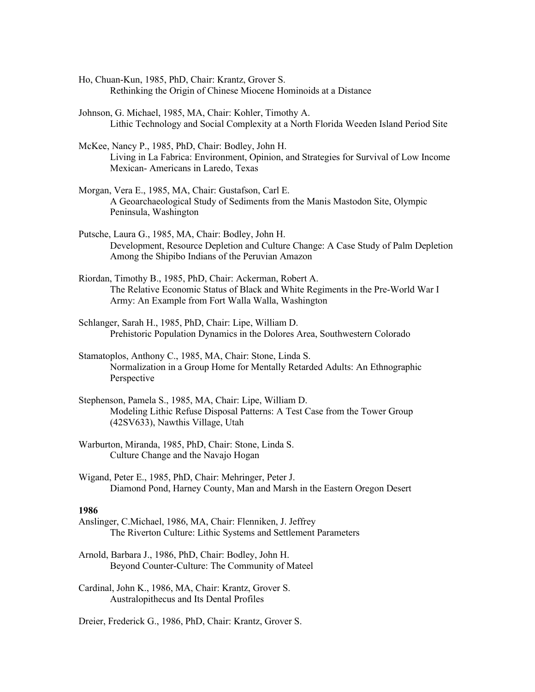- Ho, Chuan-Kun, 1985, PhD, Chair: Krantz, Grover S. Rethinking the Origin of Chinese Miocene Hominoids at a Distance
- Johnson, G. Michael, 1985, MA, Chair: Kohler, Timothy A. Lithic Technology and Social Complexity at a North Florida Weeden Island Period Site
- McKee, Nancy P., 1985, PhD, Chair: Bodley, John H. Living in La Fabrica: Environment, Opinion, and Strategies for Survival of Low Income Mexican- Americans in Laredo, Texas
- Morgan, Vera E., 1985, MA, Chair: Gustafson, Carl E. A Geoarchaeological Study of Sediments from the Manis Mastodon Site, Olympic Peninsula, Washington
- Putsche, Laura G., 1985, MA, Chair: Bodley, John H. Development, Resource Depletion and Culture Change: A Case Study of Palm Depletion Among the Shipibo Indians of the Peruvian Amazon
- Riordan, Timothy B., 1985, PhD, Chair: Ackerman, Robert A. The Relative Economic Status of Black and White Regiments in the Pre-World War I Army: An Example from Fort Walla Walla, Washington
- Schlanger, Sarah H., 1985, PhD, Chair: Lipe, William D. Prehistoric Population Dynamics in the Dolores Area, Southwestern Colorado
- Stamatoplos, Anthony C., 1985, MA, Chair: Stone, Linda S. Normalization in a Group Home for Mentally Retarded Adults: An Ethnographic Perspective
- Stephenson, Pamela S., 1985, MA, Chair: Lipe, William D. Modeling Lithic Refuse Disposal Patterns: A Test Case from the Tower Group (42SV633), Nawthis Village, Utah
- Warburton, Miranda, 1985, PhD, Chair: Stone, Linda S. Culture Change and the Navajo Hogan
- Wigand, Peter E., 1985, PhD, Chair: Mehringer, Peter J. Diamond Pond, Harney County, Man and Marsh in the Eastern Oregon Desert

- Anslinger, C.Michael, 1986, MA, Chair: Flenniken, J. Jeffrey The Riverton Culture: Lithic Systems and Settlement Parameters
- Arnold, Barbara J., 1986, PhD, Chair: Bodley, John H. Beyond Counter-Culture: The Community of Mateel
- Cardinal, John K., 1986, MA, Chair: Krantz, Grover S. Australopithecus and Its Dental Profiles

Dreier, Frederick G., 1986, PhD, Chair: Krantz, Grover S.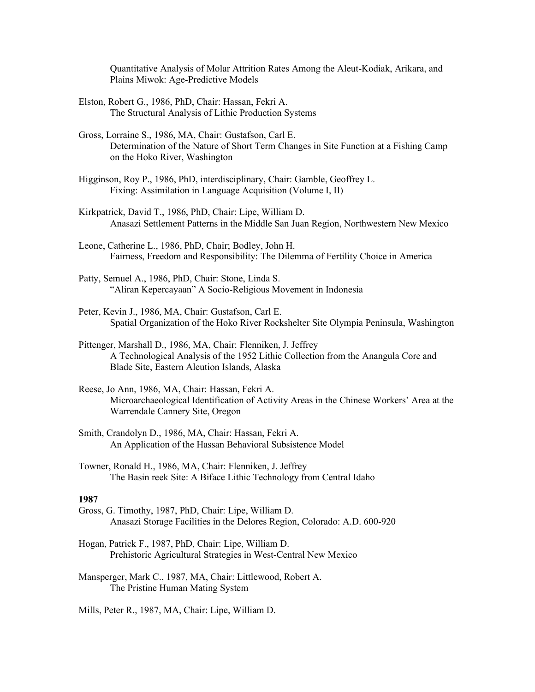Quantitative Analysis of Molar Attrition Rates Among the Aleut-Kodiak, Arikara, and Plains Miwok: Age-Predictive Models

- Elston, Robert G., 1986, PhD, Chair: Hassan, Fekri A. The Structural Analysis of Lithic Production Systems
- Gross, Lorraine S., 1986, MA, Chair: Gustafson, Carl E. Determination of the Nature of Short Term Changes in Site Function at a Fishing Camp on the Hoko River, Washington
- Higginson, Roy P., 1986, PhD, interdisciplinary, Chair: Gamble, Geoffrey L. Fixing: Assimilation in Language Acquisition (Volume I, II)
- Kirkpatrick, David T., 1986, PhD, Chair: Lipe, William D. Anasazi Settlement Patterns in the Middle San Juan Region, Northwestern New Mexico
- Leone, Catherine L., 1986, PhD, Chair; Bodley, John H. Fairness, Freedom and Responsibility: The Dilemma of Fertility Choice in America
- Patty, Semuel A., 1986, PhD, Chair: Stone, Linda S. "Aliran Kepercayaan" A Socio-Religious Movement in Indonesia
- Peter, Kevin J., 1986, MA, Chair: Gustafson, Carl E. Spatial Organization of the Hoko River Rockshelter Site Olympia Peninsula, Washington
- Pittenger, Marshall D., 1986, MA, Chair: Flenniken, J. Jeffrey A Technological Analysis of the 1952 Lithic Collection from the Anangula Core and Blade Site, Eastern Aleution Islands, Alaska
- Reese, Jo Ann, 1986, MA, Chair: Hassan, Fekri A. Microarchaeological Identification of Activity Areas in the Chinese Workers' Area at the Warrendale Cannery Site, Oregon
- Smith, Crandolyn D., 1986, MA, Chair: Hassan, Fekri A. An Application of the Hassan Behavioral Subsistence Model
- Towner, Ronald H., 1986, MA, Chair: Flenniken, J. Jeffrey The Basin reek Site: A Biface Lithic Technology from Central Idaho

- Gross, G. Timothy, 1987, PhD, Chair: Lipe, William D. Anasazi Storage Facilities in the Delores Region, Colorado: A.D. 600-920
- Hogan, Patrick F., 1987, PhD, Chair: Lipe, William D. Prehistoric Agricultural Strategies in West-Central New Mexico
- Mansperger, Mark C., 1987, MA, Chair: Littlewood, Robert A. The Pristine Human Mating System
- Mills, Peter R., 1987, MA, Chair: Lipe, William D.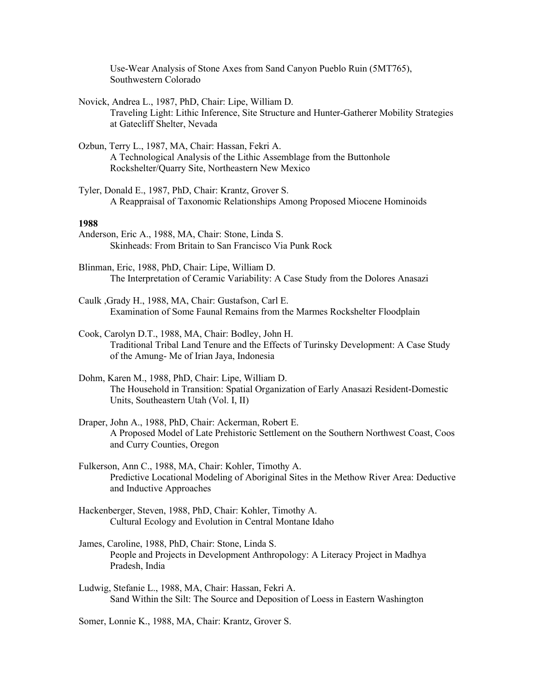Use-Wear Analysis of Stone Axes from Sand Canyon Pueblo Ruin (5MT765), Southwestern Colorado

- Novick, Andrea L., 1987, PhD, Chair: Lipe, William D. Traveling Light: Lithic Inference, Site Structure and Hunter-Gatherer Mobility Strategies at Gatecliff Shelter, Nevada
- Ozbun, Terry L., 1987, MA, Chair: Hassan, Fekri A. A Technological Analysis of the Lithic Assemblage from the Buttonhole Rockshelter/Quarry Site, Northeastern New Mexico
- Tyler, Donald E., 1987, PhD, Chair: Krantz, Grover S. A Reappraisal of Taxonomic Relationships Among Proposed Miocene Hominoids

### **1988**

- Anderson, Eric A., 1988, MA, Chair: Stone, Linda S. Skinheads: From Britain to San Francisco Via Punk Rock
- Blinman, Eric, 1988, PhD, Chair: Lipe, William D. The Interpretation of Ceramic Variability: A Case Study from the Dolores Anasazi
- Caulk ,Grady H., 1988, MA, Chair: Gustafson, Carl E. Examination of Some Faunal Remains from the Marmes Rockshelter Floodplain
- Cook, Carolyn D.T., 1988, MA, Chair: Bodley, John H. Traditional Tribal Land Tenure and the Effects of Turinsky Development: A Case Study of the Amung- Me of Irian Jaya, Indonesia
- Dohm, Karen M., 1988, PhD, Chair: Lipe, William D. The Household in Transition: Spatial Organization of Early Anasazi Resident-Domestic Units, Southeastern Utah (Vol. I, II)
- Draper, John A., 1988, PhD, Chair: Ackerman, Robert E. A Proposed Model of Late Prehistoric Settlement on the Southern Northwest Coast, Coos and Curry Counties, Oregon
- Fulkerson, Ann C., 1988, MA, Chair: Kohler, Timothy A. Predictive Locational Modeling of Aboriginal Sites in the Methow River Area: Deductive and Inductive Approaches
- Hackenberger, Steven, 1988, PhD, Chair: Kohler, Timothy A. Cultural Ecology and Evolution in Central Montane Idaho
- James, Caroline, 1988, PhD, Chair: Stone, Linda S. People and Projects in Development Anthropology: A Literacy Project in Madhya Pradesh, India
- Ludwig, Stefanie L., 1988, MA, Chair: Hassan, Fekri A. Sand Within the Silt: The Source and Deposition of Loess in Eastern Washington

Somer, Lonnie K., 1988, MA, Chair: Krantz, Grover S.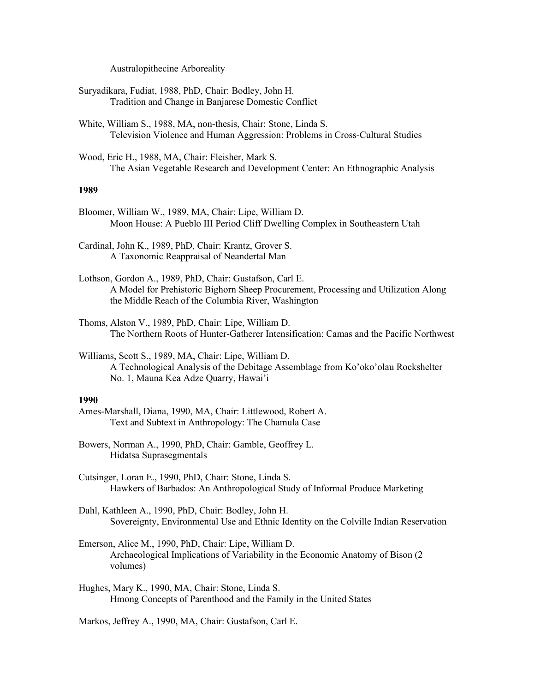Australopithecine Arboreality

Suryadikara, Fudiat, 1988, PhD, Chair: Bodley, John H. Tradition and Change in Banjarese Domestic Conflict

White, William S., 1988, MA, non-thesis, Chair: Stone, Linda S. Television Violence and Human Aggression: Problems in Cross-Cultural Studies

Wood, Eric H., 1988, MA, Chair: Fleisher, Mark S. The Asian Vegetable Research and Development Center: An Ethnographic Analysis

## **1989**

Bloomer, William W., 1989, MA, Chair: Lipe, William D. Moon House: A Pueblo III Period Cliff Dwelling Complex in Southeastern Utah

Cardinal, John K., 1989, PhD, Chair: Krantz, Grover S. A Taxonomic Reappraisal of Neandertal Man

- Lothson, Gordon A., 1989, PhD, Chair: Gustafson, Carl E. A Model for Prehistoric Bighorn Sheep Procurement, Processing and Utilization Along the Middle Reach of the Columbia River, Washington
- Thoms, Alston V., 1989, PhD, Chair: Lipe, William D. The Northern Roots of Hunter-Gatherer Intensification: Camas and the Pacific Northwest

Williams, Scott S., 1989, MA, Chair: Lipe, William D. A Technological Analysis of the Debitage Assemblage from Ko'oko'olau Rockshelter No. 1, Mauna Kea Adze Quarry, Hawai'i

## **1990**

- Ames-Marshall, Diana, 1990, MA, Chair: Littlewood, Robert A. Text and Subtext in Anthropology: The Chamula Case
- Bowers, Norman A., 1990, PhD, Chair: Gamble, Geoffrey L. Hidatsa Suprasegmentals
- Cutsinger, Loran E., 1990, PhD, Chair: Stone, Linda S. Hawkers of Barbados: An Anthropological Study of Informal Produce Marketing

Dahl, Kathleen A., 1990, PhD, Chair: Bodley, John H. Sovereignty, Environmental Use and Ethnic Identity on the Colville Indian Reservation

Emerson, Alice M., 1990, PhD, Chair: Lipe, William D. Archaeological Implications of Variability in the Economic Anatomy of Bison (2 volumes)

Hughes, Mary K., 1990, MA, Chair: Stone, Linda S. Hmong Concepts of Parenthood and the Family in the United States

Markos, Jeffrey A., 1990, MA, Chair: Gustafson, Carl E.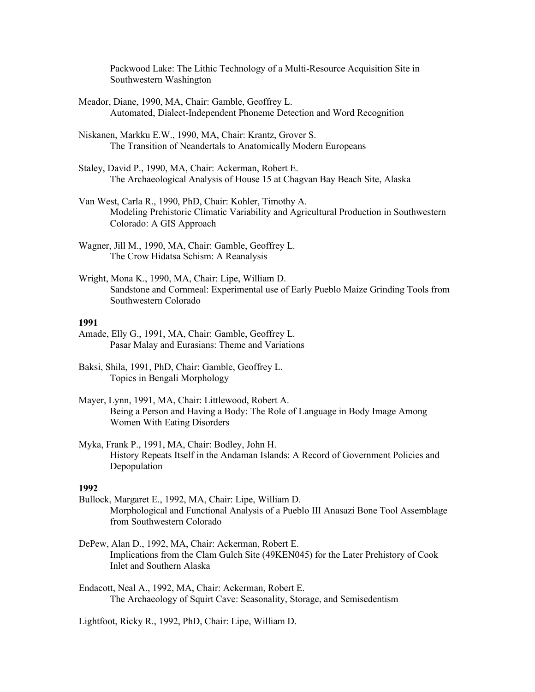Packwood Lake: The Lithic Technology of a Multi-Resource Acquisition Site in Southwestern Washington

- Meador, Diane, 1990, MA, Chair: Gamble, Geoffrey L. Automated, Dialect-Independent Phoneme Detection and Word Recognition
- Niskanen, Markku E.W., 1990, MA, Chair: Krantz, Grover S. The Transition of Neandertals to Anatomically Modern Europeans
- Staley, David P., 1990, MA, Chair: Ackerman, Robert E. The Archaeological Analysis of House 15 at Chagvan Bay Beach Site, Alaska
- Van West, Carla R., 1990, PhD, Chair: Kohler, Timothy A. Modeling Prehistoric Climatic Variability and Agricultural Production in Southwestern Colorado: A GIS Approach
- Wagner, Jill M., 1990, MA, Chair: Gamble, Geoffrey L. The Crow Hidatsa Schism: A Reanalysis
- Wright, Mona K., 1990, MA, Chair: Lipe, William D. Sandstone and Cornmeal: Experimental use of Early Pueblo Maize Grinding Tools from Southwestern Colorado

# **1991**

- Amade, Elly G., 1991, MA, Chair: Gamble, Geoffrey L. Pasar Malay and Eurasians: Theme and Variations
- Baksi, Shila, 1991, PhD, Chair: Gamble, Geoffrey L. Topics in Bengali Morphology
- Mayer, Lynn, 1991, MA, Chair: Littlewood, Robert A. Being a Person and Having a Body: The Role of Language in Body Image Among Women With Eating Disorders
- Myka, Frank P., 1991, MA, Chair: Bodley, John H. History Repeats Itself in the Andaman Islands: A Record of Government Policies and Depopulation

## **1992**

- Bullock, Margaret E., 1992, MA, Chair: Lipe, William D. Morphological and Functional Analysis of a Pueblo III Anasazi Bone Tool Assemblage from Southwestern Colorado
- DePew, Alan D., 1992, MA, Chair: Ackerman, Robert E. Implications from the Clam Gulch Site (49KEN045) for the Later Prehistory of Cook Inlet and Southern Alaska
- Endacott, Neal A., 1992, MA, Chair: Ackerman, Robert E. The Archaeology of Squirt Cave: Seasonality, Storage, and Semisedentism

Lightfoot, Ricky R., 1992, PhD, Chair: Lipe, William D.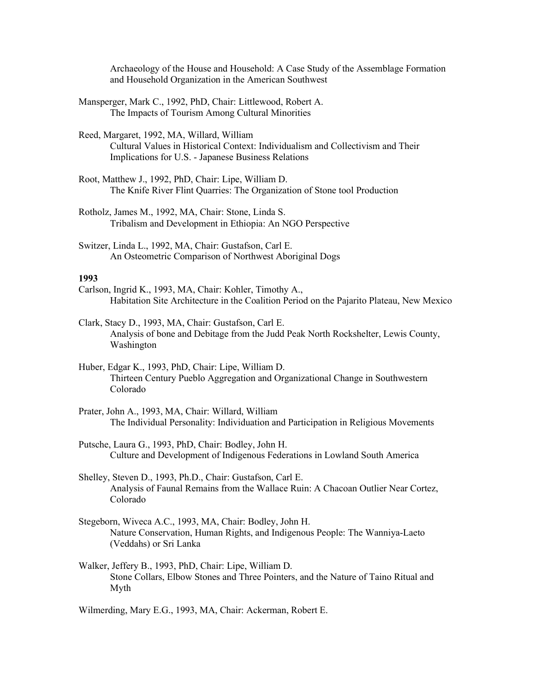Archaeology of the House and Household: A Case Study of the Assemblage Formation and Household Organization in the American Southwest

Mansperger, Mark C., 1992, PhD, Chair: Littlewood, Robert A. The Impacts of Tourism Among Cultural Minorities

Reed, Margaret, 1992, MA, Willard, William Cultural Values in Historical Context: Individualism and Collectivism and Their Implications for U.S. - Japanese Business Relations

- Root, Matthew J., 1992, PhD, Chair: Lipe, William D. The Knife River Flint Quarries: The Organization of Stone tool Production
- Rotholz, James M., 1992, MA, Chair: Stone, Linda S. Tribalism and Development in Ethiopia: An NGO Perspective
- Switzer, Linda L., 1992, MA, Chair: Gustafson, Carl E. An Osteometric Comparison of Northwest Aboriginal Dogs

## **1993**

- Carlson, Ingrid K., 1993, MA, Chair: Kohler, Timothy A., Habitation Site Architecture in the Coalition Period on the Pajarito Plateau, New Mexico
- Clark, Stacy D., 1993, MA, Chair: Gustafson, Carl E. Analysis of bone and Debitage from the Judd Peak North Rockshelter, Lewis County, Washington
- Huber, Edgar K., 1993, PhD, Chair: Lipe, William D. Thirteen Century Pueblo Aggregation and Organizational Change in Southwestern Colorado
- Prater, John A., 1993, MA, Chair: Willard, William The Individual Personality: Individuation and Participation in Religious Movements
- Putsche, Laura G., 1993, PhD, Chair: Bodley, John H. Culture and Development of Indigenous Federations in Lowland South America
- Shelley, Steven D., 1993, Ph.D., Chair: Gustafson, Carl E. Analysis of Faunal Remains from the Wallace Ruin: A Chacoan Outlier Near Cortez, Colorado
- Stegeborn, Wiveca A.C., 1993, MA, Chair: Bodley, John H. Nature Conservation, Human Rights, and Indigenous People: The Wanniya-Laeto (Veddahs) or Sri Lanka
- Walker, Jeffery B., 1993, PhD, Chair: Lipe, William D. Stone Collars, Elbow Stones and Three Pointers, and the Nature of Taino Ritual and Myth

Wilmerding, Mary E.G., 1993, MA, Chair: Ackerman, Robert E.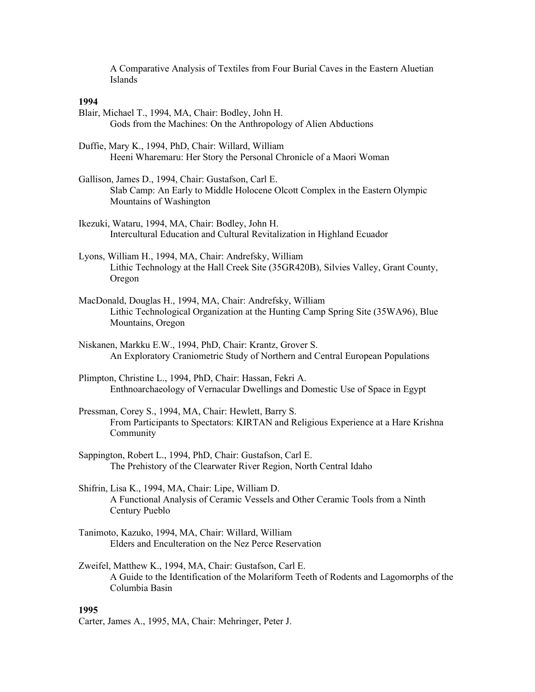A Comparative Analysis of Textiles from Four Burial Caves in the Eastern Aluetian Islands

## **1994**

- Blair, Michael T., 1994, MA, Chair: Bodley, John H. Gods from the Machines: On the Anthropology of Alien Abductions
- Duffie, Mary K., 1994, PhD, Chair: Willard, William Heeni Wharemaru: Her Story the Personal Chronicle of a Maori Woman
- Gallison, James D., 1994, Chair: Gustafson, Carl E. Slab Camp: An Early to Middle Holocene Olcott Complex in the Eastern Olympic Mountains of Washington
- Ikezuki, Wataru, 1994, MA, Chair: Bodley, John H. Intercultural Education and Cultural Revitalization in Highland Ecuador
- Lyons, William H., 1994, MA, Chair: Andrefsky, William Lithic Technology at the Hall Creek Site (35GR420B), Silvies Valley, Grant County, Oregon
- MacDonald, Douglas H., 1994, MA, Chair: Andrefsky, William Lithic Technological Organization at the Hunting Camp Spring Site (35WA96), Blue Mountains, Oregon
- Niskanen, Markku E.W., 1994, PhD, Chair: Krantz, Grover S. An Exploratory Craniometric Study of Northern and Central European Populations
- Plimpton, Christine L., 1994, PhD, Chair: Hassan, Fekri A. Enthnoarchaeology of Vernacular Dwellings and Domestic Use of Space in Egypt
- Pressman, Corey S., 1994, MA, Chair: Hewlett, Barry S. From Participants to Spectators: KIRTAN and Religious Experience at a Hare Krishna Community
- Sappington, Robert L., 1994, PhD, Chair: Gustafson, Carl E. The Prehistory of the Clearwater River Region, North Central Idaho
- Shifrin, Lisa K., 1994, MA, Chair: Lipe, William D. A Functional Analysis of Ceramic Vessels and Other Ceramic Tools from a Ninth Century Pueblo
- Tanimoto, Kazuko, 1994, MA, Chair: Willard, William Elders and Enculteration on the Nez Perce Reservation
- Zweifel, Matthew K., 1994, MA, Chair: Gustafson, Carl E. A Guide to the Identification of the Molariform Teeth of Rodents and Lagomorphs of the Columbia Basin

## **1995**

Carter, James A., 1995, MA, Chair: Mehringer, Peter J.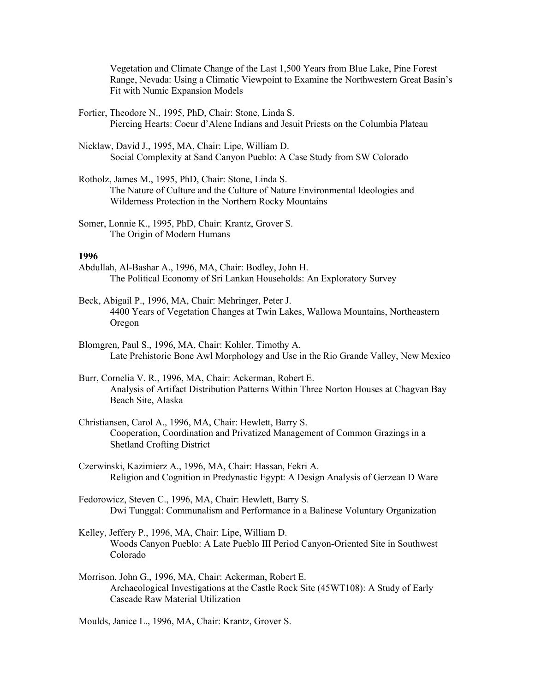Vegetation and Climate Change of the Last 1,500 Years from Blue Lake, Pine Forest Range, Nevada: Using a Climatic Viewpoint to Examine the Northwestern Great Basin's Fit with Numic Expansion Models

- Fortier, Theodore N., 1995, PhD, Chair: Stone, Linda S. Piercing Hearts: Coeur d'Alene Indians and Jesuit Priests on the Columbia Plateau
- Nicklaw, David J., 1995, MA, Chair: Lipe, William D. Social Complexity at Sand Canyon Pueblo: A Case Study from SW Colorado
- Rotholz, James M., 1995, PhD, Chair: Stone, Linda S. The Nature of Culture and the Culture of Nature Environmental Ideologies and Wilderness Protection in the Northern Rocky Mountains

Somer, Lonnie K., 1995, PhD, Chair: Krantz, Grover S. The Origin of Modern Humans

### **1996**

- Abdullah, Al-Bashar A., 1996, MA, Chair: Bodley, John H. The Political Economy of Sri Lankan Households: An Exploratory Survey
- Beck, Abigail P., 1996, MA, Chair: Mehringer, Peter J. 4400 Years of Vegetation Changes at Twin Lakes, Wallowa Mountains, Northeastern Oregon
- Blomgren, Paul S., 1996, MA, Chair: Kohler, Timothy A. Late Prehistoric Bone Awl Morphology and Use in the Rio Grande Valley, New Mexico
- Burr, Cornelia V. R., 1996, MA, Chair: Ackerman, Robert E. Analysis of Artifact Distribution Patterns Within Three Norton Houses at Chagvan Bay Beach Site, Alaska
- Christiansen, Carol A., 1996, MA, Chair: Hewlett, Barry S. Cooperation, Coordination and Privatized Management of Common Grazings in a Shetland Crofting District
- Czerwinski, Kazimierz A., 1996, MA, Chair: Hassan, Fekri A. Religion and Cognition in Predynastic Egypt: A Design Analysis of Gerzean D Ware
- Fedorowicz, Steven C., 1996, MA, Chair: Hewlett, Barry S. Dwi Tunggal: Communalism and Performance in a Balinese Voluntary Organization
- Kelley, Jeffery P., 1996, MA, Chair: Lipe, William D. Woods Canyon Pueblo: A Late Pueblo III Period Canyon-Oriented Site in Southwest Colorado
- Morrison, John G., 1996, MA, Chair: Ackerman, Robert E. Archaeological Investigations at the Castle Rock Site (45WT108): A Study of Early Cascade Raw Material Utilization

Moulds, Janice L., 1996, MA, Chair: Krantz, Grover S.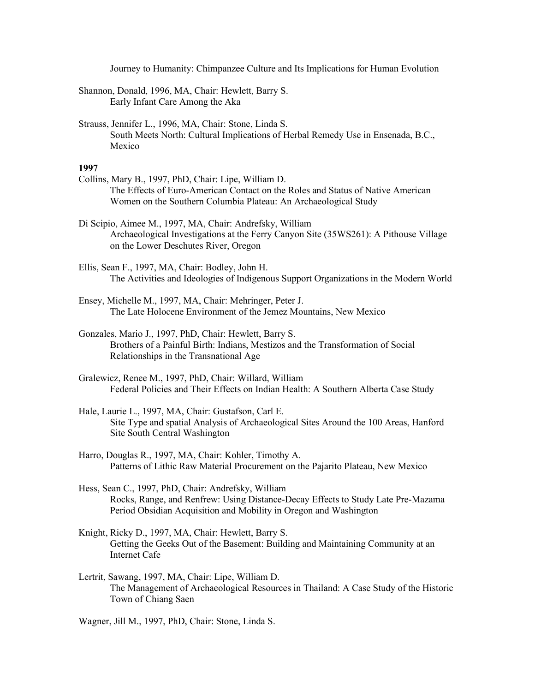Journey to Humanity: Chimpanzee Culture and Its Implications for Human Evolution

- Shannon, Donald, 1996, MA, Chair: Hewlett, Barry S. Early Infant Care Among the Aka
- Strauss, Jennifer L., 1996, MA, Chair: Stone, Linda S. South Meets North: Cultural Implications of Herbal Remedy Use in Ensenada, B.C., Mexico

- Collins, Mary B., 1997, PhD, Chair: Lipe, William D. The Effects of Euro-American Contact on the Roles and Status of Native American Women on the Southern Columbia Plateau: An Archaeological Study
- Di Scipio, Aimee M., 1997, MA, Chair: Andrefsky, William Archaeological Investigations at the Ferry Canyon Site (35WS261): A Pithouse Village on the Lower Deschutes River, Oregon
- Ellis, Sean F., 1997, MA, Chair: Bodley, John H. The Activities and Ideologies of Indigenous Support Organizations in the Modern World
- Ensey, Michelle M., 1997, MA, Chair: Mehringer, Peter J. The Late Holocene Environment of the Jemez Mountains, New Mexico
- Gonzales, Mario J., 1997, PhD, Chair: Hewlett, Barry S. Brothers of a Painful Birth: Indians, Mestizos and the Transformation of Social Relationships in the Transnational Age
- Gralewicz, Renee M., 1997, PhD, Chair: Willard, William Federal Policies and Their Effects on Indian Health: A Southern Alberta Case Study
- Hale, Laurie L., 1997, MA, Chair: Gustafson, Carl E. Site Type and spatial Analysis of Archaeological Sites Around the 100 Areas, Hanford Site South Central Washington
- Harro, Douglas R., 1997, MA, Chair: Kohler, Timothy A. Patterns of Lithic Raw Material Procurement on the Pajarito Plateau, New Mexico
- Hess, Sean C., 1997, PhD, Chair: Andrefsky, William Rocks, Range, and Renfrew: Using Distance-Decay Effects to Study Late Pre-Mazama Period Obsidian Acquisition and Mobility in Oregon and Washington
- Knight, Ricky D., 1997, MA, Chair: Hewlett, Barry S. Getting the Geeks Out of the Basement: Building and Maintaining Community at an Internet Cafe
- Lertrit, Sawang, 1997, MA, Chair: Lipe, William D. The Management of Archaeological Resources in Thailand: A Case Study of the Historic Town of Chiang Saen
- Wagner, Jill M., 1997, PhD, Chair: Stone, Linda S.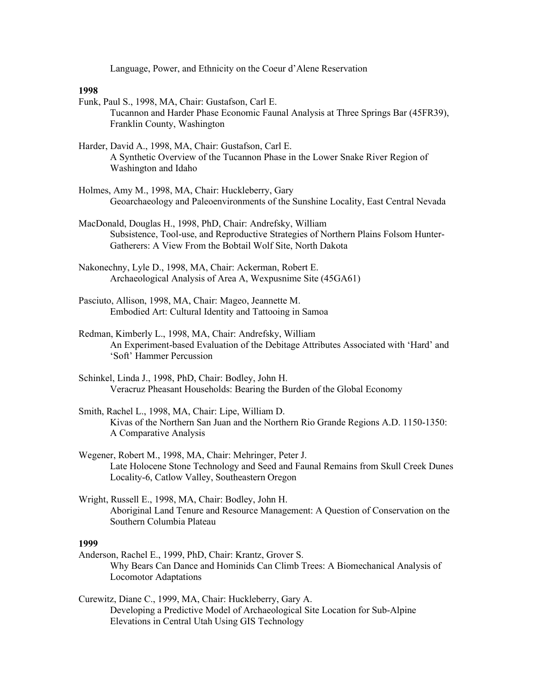Language, Power, and Ethnicity on the Coeur d'Alene Reservation

#### **1998**

- Funk, Paul S., 1998, MA, Chair: Gustafson, Carl E. Tucannon and Harder Phase Economic Faunal Analysis at Three Springs Bar (45FR39), Franklin County, Washington
- Harder, David A., 1998, MA, Chair: Gustafson, Carl E. A Synthetic Overview of the Tucannon Phase in the Lower Snake River Region of Washington and Idaho
- Holmes, Amy M., 1998, MA, Chair: Huckleberry, Gary Geoarchaeology and Paleoenvironments of the Sunshine Locality, East Central Nevada
- MacDonald, Douglas H., 1998, PhD, Chair: Andrefsky, William Subsistence, Tool-use, and Reproductive Strategies of Northern Plains Folsom Hunter-Gatherers: A View From the Bobtail Wolf Site, North Dakota
- Nakonechny, Lyle D., 1998, MA, Chair: Ackerman, Robert E. Archaeological Analysis of Area A, Wexpusnime Site (45GA61)
- Pasciuto, Allison, 1998, MA, Chair: Mageo, Jeannette M. Embodied Art: Cultural Identity and Tattooing in Samoa
- Redman, Kimberly L., 1998, MA, Chair: Andrefsky, William An Experiment-based Evaluation of the Debitage Attributes Associated with 'Hard' and 'Soft' Hammer Percussion
- Schinkel, Linda J., 1998, PhD, Chair: Bodley, John H. Veracruz Pheasant Households: Bearing the Burden of the Global Economy
- Smith, Rachel L., 1998, MA, Chair: Lipe, William D. Kivas of the Northern San Juan and the Northern Rio Grande Regions A.D. 1150-1350: A Comparative Analysis
- Wegener, Robert M., 1998, MA, Chair: Mehringer, Peter J. Late Holocene Stone Technology and Seed and Faunal Remains from Skull Creek Dunes Locality-6, Catlow Valley, Southeastern Oregon
- Wright, Russell E., 1998, MA, Chair: Bodley, John H. Aboriginal Land Tenure and Resource Management: A Question of Conservation on the Southern Columbia Plateau

- Anderson, Rachel E., 1999, PhD, Chair: Krantz, Grover S. Why Bears Can Dance and Hominids Can Climb Trees: A Biomechanical Analysis of Locomotor Adaptations
- Curewitz, Diane C., 1999, MA, Chair: Huckleberry, Gary A. Developing a Predictive Model of Archaeological Site Location for Sub-Alpine Elevations in Central Utah Using GIS Technology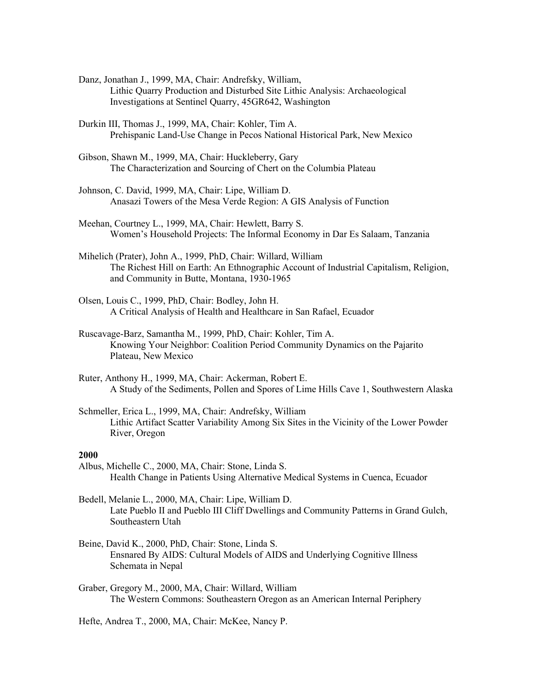- Danz, Jonathan J., 1999, MA, Chair: Andrefsky, William, Lithic Quarry Production and Disturbed Site Lithic Analysis: Archaeological Investigations at Sentinel Quarry, 45GR642, Washington
- Durkin III, Thomas J., 1999, MA, Chair: Kohler, Tim A. Prehispanic Land-Use Change in Pecos National Historical Park, New Mexico
- Gibson, Shawn M., 1999, MA, Chair: Huckleberry, Gary The Characterization and Sourcing of Chert on the Columbia Plateau
- Johnson, C. David, 1999, MA, Chair: Lipe, William D. Anasazi Towers of the Mesa Verde Region: A GIS Analysis of Function
- Meehan, Courtney L., 1999, MA, Chair: Hewlett, Barry S. Women's Household Projects: The Informal Economy in Dar Es Salaam, Tanzania
- Mihelich (Prater), John A., 1999, PhD, Chair: Willard, William The Richest Hill on Earth: An Ethnographic Account of Industrial Capitalism, Religion, and Community in Butte, Montana, 1930-1965
- Olsen, Louis C., 1999, PhD, Chair: Bodley, John H. A Critical Analysis of Health and Healthcare in San Rafael, Ecuador
- Ruscavage-Barz, Samantha M., 1999, PhD, Chair: Kohler, Tim A. Knowing Your Neighbor: Coalition Period Community Dynamics on the Pajarito Plateau, New Mexico
- Ruter, Anthony H., 1999, MA, Chair: Ackerman, Robert E. A Study of the Sediments, Pollen and Spores of Lime Hills Cave 1, Southwestern Alaska
- Schmeller, Erica L., 1999, MA, Chair: Andrefsky, William Lithic Artifact Scatter Variability Among Six Sites in the Vicinity of the Lower Powder River, Oregon

- Albus, Michelle C., 2000, MA, Chair: Stone, Linda S. Health Change in Patients Using Alternative Medical Systems in Cuenca, Ecuador
- Bedell, Melanie L., 2000, MA, Chair: Lipe, William D. Late Pueblo II and Pueblo III Cliff Dwellings and Community Patterns in Grand Gulch, Southeastern Utah
- Beine, David K., 2000, PhD, Chair: Stone, Linda S. Ensnared By AIDS: Cultural Models of AIDS and Underlying Cognitive Illness Schemata in Nepal
- Graber, Gregory M., 2000, MA, Chair: Willard, William The Western Commons: Southeastern Oregon as an American Internal Periphery

Hefte, Andrea T., 2000, MA, Chair: McKee, Nancy P.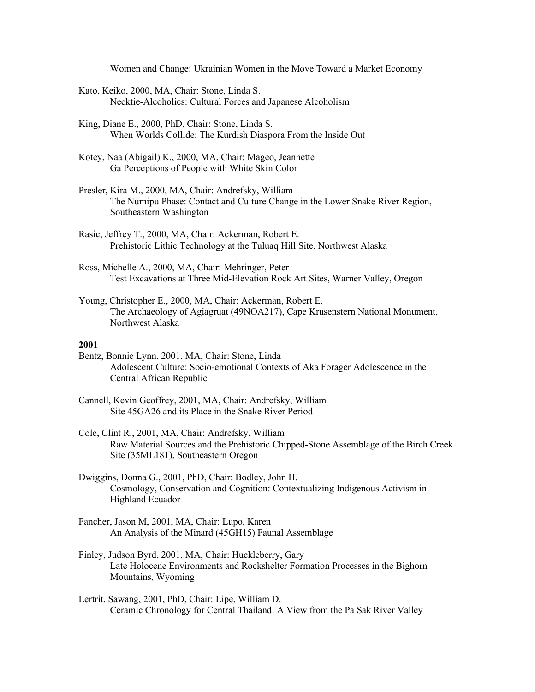Women and Change: Ukrainian Women in the Move Toward a Market Economy

- Kato, Keiko, 2000, MA, Chair: Stone, Linda S. Necktie-Alcoholics: Cultural Forces and Japanese Alcoholism
- King, Diane E., 2000, PhD, Chair: Stone, Linda S. When Worlds Collide: The Kurdish Diaspora From the Inside Out
- Kotey, Naa (Abigail) K., 2000, MA, Chair: Mageo, Jeannette Ga Perceptions of People with White Skin Color
- Presler, Kira M., 2000, MA, Chair: Andrefsky, William The Numipu Phase: Contact and Culture Change in the Lower Snake River Region, Southeastern Washington
- Rasic, Jeffrey T., 2000, MA, Chair: Ackerman, Robert E. Prehistoric Lithic Technology at the Tuluaq Hill Site, Northwest Alaska
- Ross, Michelle A., 2000, MA, Chair: Mehringer, Peter Test Excavations at Three Mid-Elevation Rock Art Sites, Warner Valley, Oregon
- Young, Christopher E., 2000, MA, Chair: Ackerman, Robert E. The Archaeology of Agiagruat (49NOA217), Cape Krusenstern National Monument, Northwest Alaska

- Bentz, Bonnie Lynn, 2001, MA, Chair: Stone, Linda Adolescent Culture: Socio-emotional Contexts of Aka Forager Adolescence in the Central African Republic
- Cannell, Kevin Geoffrey, 2001, MA, Chair: Andrefsky, William Site 45GA26 and its Place in the Snake River Period
- Cole, Clint R., 2001, MA, Chair: Andrefsky, William Raw Material Sources and the Prehistoric Chipped-Stone Assemblage of the Birch Creek Site (35ML181), Southeastern Oregon
- Dwiggins, Donna G., 2001, PhD, Chair: Bodley, John H. Cosmology, Conservation and Cognition: Contextualizing Indigenous Activism in Highland Ecuador
- Fancher, Jason M, 2001, MA, Chair: Lupo, Karen An Analysis of the Minard (45GH15) Faunal Assemblage
- Finley, Judson Byrd, 2001, MA, Chair: Huckleberry, Gary Late Holocene Environments and Rockshelter Formation Processes in the Bighorn Mountains, Wyoming
- Lertrit, Sawang, 2001, PhD, Chair: Lipe, William D. Ceramic Chronology for Central Thailand: A View from the Pa Sak River Valley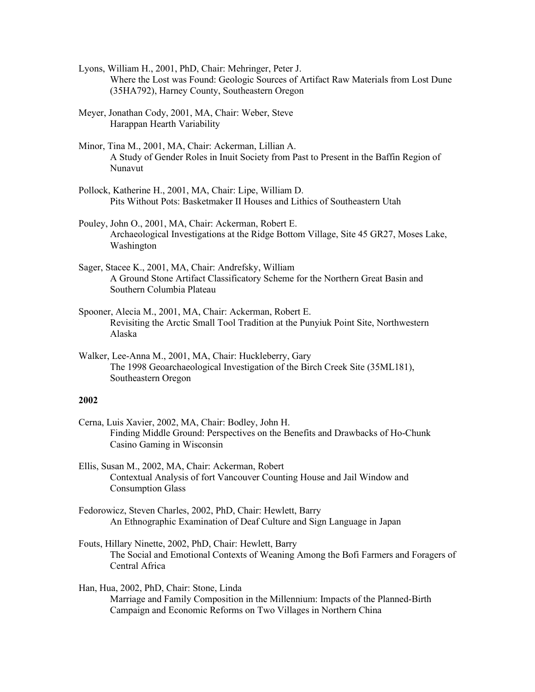- Lyons, William H., 2001, PhD, Chair: Mehringer, Peter J. Where the Lost was Found: Geologic Sources of Artifact Raw Materials from Lost Dune (35HA792), Harney County, Southeastern Oregon
- Meyer, Jonathan Cody, 2001, MA, Chair: Weber, Steve Harappan Hearth Variability
- Minor, Tina M., 2001, MA, Chair: Ackerman, Lillian A. A Study of Gender Roles in Inuit Society from Past to Present in the Baffin Region of Nunavut
- Pollock, Katherine H., 2001, MA, Chair: Lipe, William D. Pits Without Pots: Basketmaker II Houses and Lithics of Southeastern Utah
- Pouley, John O., 2001, MA, Chair: Ackerman, Robert E. Archaeological Investigations at the Ridge Bottom Village, Site 45 GR27, Moses Lake, Washington
- Sager, Stacee K., 2001, MA, Chair: Andrefsky, William A Ground Stone Artifact Classificatory Scheme for the Northern Great Basin and Southern Columbia Plateau
- Spooner, Alecia M., 2001, MA, Chair: Ackerman, Robert E. Revisiting the Arctic Small Tool Tradition at the Punyiuk Point Site, Northwestern Alaska
- Walker, Lee-Anna M., 2001, MA, Chair: Huckleberry, Gary The 1998 Geoarchaeological Investigation of the Birch Creek Site (35ML181), Southeastern Oregon

Cerna, Luis Xavier, 2002, MA, Chair: Bodley, John H. Finding Middle Ground: Perspectives on the Benefits and Drawbacks of Ho-Chunk Casino Gaming in Wisconsin

Ellis, Susan M., 2002, MA, Chair: Ackerman, Robert Contextual Analysis of fort Vancouver Counting House and Jail Window and Consumption Glass

- Fedorowicz, Steven Charles, 2002, PhD, Chair: Hewlett, Barry An Ethnographic Examination of Deaf Culture and Sign Language in Japan
- Fouts, Hillary Ninette, 2002, PhD, Chair: Hewlett, Barry The Social and Emotional Contexts of Weaning Among the Bofi Farmers and Foragers of Central Africa
- Han, Hua, 2002, PhD, Chair: Stone, Linda Marriage and Family Composition in the Millennium: Impacts of the Planned-Birth Campaign and Economic Reforms on Two Villages in Northern China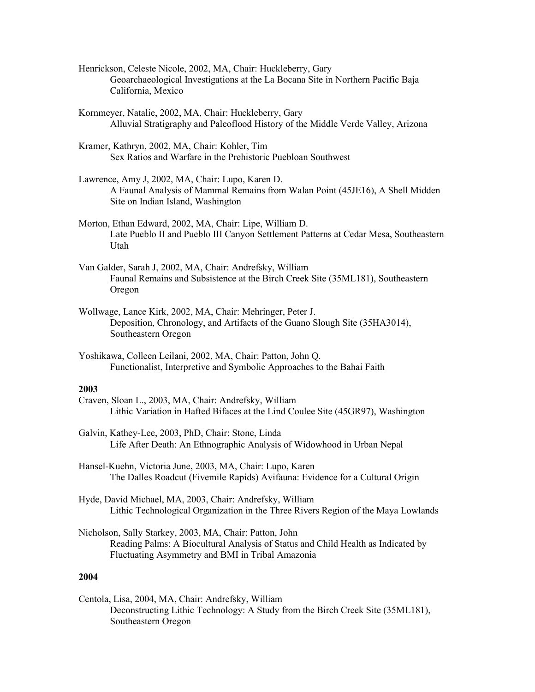- Henrickson, Celeste Nicole, 2002, MA, Chair: Huckleberry, Gary Geoarchaeological Investigations at the La Bocana Site in Northern Pacific Baja California, Mexico
- Kornmeyer, Natalie, 2002, MA, Chair: Huckleberry, Gary Alluvial Stratigraphy and Paleoflood History of the Middle Verde Valley, Arizona
- Kramer, Kathryn, 2002, MA, Chair: Kohler, Tim Sex Ratios and Warfare in the Prehistoric Puebloan Southwest
- Lawrence, Amy J, 2002, MA, Chair: Lupo, Karen D. A Faunal Analysis of Mammal Remains from Walan Point (45JE16), A Shell Midden Site on Indian Island, Washington
- Morton, Ethan Edward, 2002, MA, Chair: Lipe, William D. Late Pueblo II and Pueblo III Canyon Settlement Patterns at Cedar Mesa, Southeastern Utah
- Van Galder, Sarah J, 2002, MA, Chair: Andrefsky, William Faunal Remains and Subsistence at the Birch Creek Site (35ML181), Southeastern Oregon
- Wollwage, Lance Kirk, 2002, MA, Chair: Mehringer, Peter J. Deposition, Chronology, and Artifacts of the Guano Slough Site (35HA3014), Southeastern Oregon
- Yoshikawa, Colleen Leilani, 2002, MA, Chair: Patton, John Q. Functionalist, Interpretive and Symbolic Approaches to the Bahai Faith

- Craven, Sloan L., 2003, MA, Chair: Andrefsky, William Lithic Variation in Hafted Bifaces at the Lind Coulee Site (45GR97), Washington
- Galvin, Kathey-Lee, 2003, PhD, Chair: Stone, Linda Life After Death: An Ethnographic Analysis of Widowhood in Urban Nepal
- Hansel-Kuehn, Victoria June, 2003, MA, Chair: Lupo, Karen The Dalles Roadcut (Fivemile Rapids) Avifauna: Evidence for a Cultural Origin
- Hyde, David Michael, MA, 2003, Chair: Andrefsky, William Lithic Technological Organization in the Three Rivers Region of the Maya Lowlands
- Nicholson, Sally Starkey, 2003, MA, Chair: Patton, John Reading Palms: A Biocultural Analysis of Status and Child Health as Indicated by Fluctuating Asymmetry and BMI in Tribal Amazonia

# **2004**

Centola, Lisa, 2004, MA, Chair: Andrefsky, William Deconstructing Lithic Technology: A Study from the Birch Creek Site (35ML181), Southeastern Oregon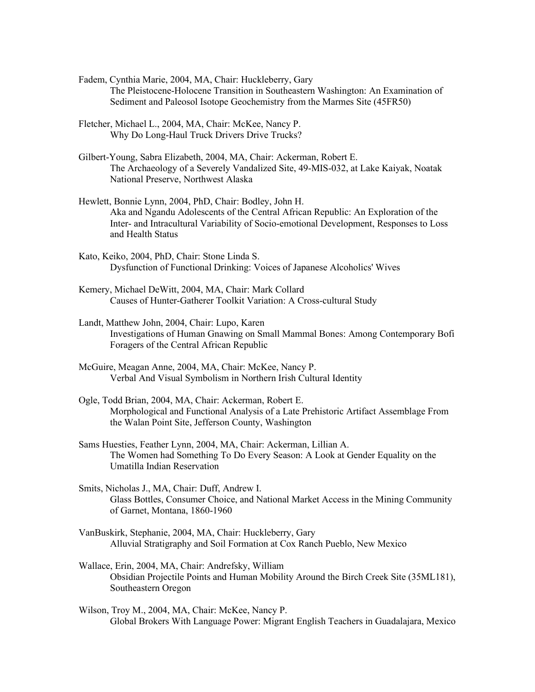- Fadem, Cynthia Marie, 2004, MA, Chair: Huckleberry, Gary The Pleistocene-Holocene Transition in Southeastern Washington: An Examination of Sediment and Paleosol Isotope Geochemistry from the Marmes Site (45FR50)
- Fletcher, Michael L., 2004, MA, Chair: McKee, Nancy P. Why Do Long-Haul Truck Drivers Drive Trucks?
- Gilbert-Young, Sabra Elizabeth, 2004, MA, Chair: Ackerman, Robert E. The Archaeology of a Severely Vandalized Site, 49-MIS-032, at Lake Kaiyak, Noatak National Preserve, Northwest Alaska
- Hewlett, Bonnie Lynn, 2004, PhD, Chair: Bodley, John H. Aka and Ngandu Adolescents of the Central African Republic: An Exploration of the Inter- and Intracultural Variability of Socio-emotional Development, Responses to Loss and Health Status
- Kato, Keiko, 2004, PhD, Chair: Stone Linda S. Dysfunction of Functional Drinking: Voices of Japanese Alcoholics' Wives
- Kemery, Michael DeWitt, 2004, MA, Chair: Mark Collard Causes of Hunter-Gatherer Toolkit Variation: A Cross-cultural Study
- Landt, Matthew John, 2004, Chair: Lupo, Karen Investigations of Human Gnawing on Small Mammal Bones: Among Contemporary Bofi Foragers of the Central African Republic
- McGuire, Meagan Anne, 2004, MA, Chair: McKee, Nancy P. Verbal And Visual Symbolism in Northern Irish Cultural Identity
- Ogle, Todd Brian, 2004, MA, Chair: Ackerman, Robert E. Morphological and Functional Analysis of a Late Prehistoric Artifact Assemblage From the Walan Point Site, Jefferson County, Washington
- Sams Huesties, Feather Lynn, 2004, MA, Chair: Ackerman, Lillian A. The Women had Something To Do Every Season: A Look at Gender Equality on the Umatilla Indian Reservation
- Smits, Nicholas J., MA, Chair: Duff, Andrew I. Glass Bottles, Consumer Choice, and National Market Access in the Mining Community of Garnet, Montana, 1860-1960
- VanBuskirk, Stephanie, 2004, MA, Chair: Huckleberry, Gary Alluvial Stratigraphy and Soil Formation at Cox Ranch Pueblo, New Mexico
- Wallace, Erin, 2004, MA, Chair: Andrefsky, William Obsidian Projectile Points and Human Mobility Around the Birch Creek Site (35ML181), Southeastern Oregon
- Wilson, Troy M., 2004, MA, Chair: McKee, Nancy P. Global Brokers With Language Power: Migrant English Teachers in Guadalajara, Mexico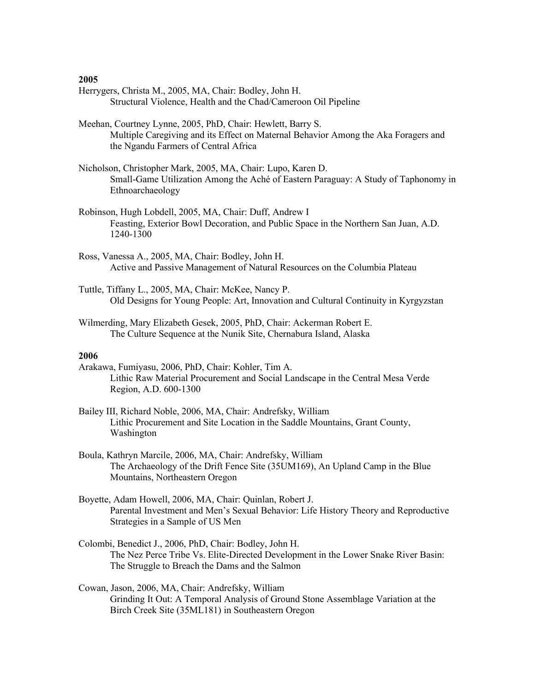- Herrygers, Christa M., 2005, MA, Chair: Bodley, John H. Structural Violence, Health and the Chad/Cameroon Oil Pipeline
- Meehan, Courtney Lynne, 2005, PhD, Chair: Hewlett, Barry S. Multiple Caregiving and its Effect on Maternal Behavior Among the Aka Foragers and the Ngandu Farmers of Central Africa
- Nicholson, Christopher Mark, 2005, MA, Chair: Lupo, Karen D. Small-Game Utilization Among the Aché of Eastern Paraguay: A Study of Taphonomy in Ethnoarchaeology
- Robinson, Hugh Lobdell, 2005, MA, Chair: Duff, Andrew I Feasting, Exterior Bowl Decoration, and Public Space in the Northern San Juan, A.D. 1240-1300
- Ross, Vanessa A., 2005, MA, Chair: Bodley, John H. Active and Passive Management of Natural Resources on the Columbia Plateau
- Tuttle, Tiffany L., 2005, MA, Chair: McKee, Nancy P. Old Designs for Young People: Art, Innovation and Cultural Continuity in Kyrgyzstan
- Wilmerding, Mary Elizabeth Gesek, 2005, PhD, Chair: Ackerman Robert E. The Culture Sequence at the Nunik Site, Chernabura Island, Alaska

- Arakawa, Fumiyasu, 2006, PhD, Chair: Kohler, Tim A. Lithic Raw Material Procurement and Social Landscape in the Central Mesa Verde Region, A.D. 600-1300
- Bailey III, Richard Noble, 2006, MA, Chair: Andrefsky, William Lithic Procurement and Site Location in the Saddle Mountains, Grant County, Washington
- Boula, Kathryn Marcile, 2006, MA, Chair: Andrefsky, William The Archaeology of the Drift Fence Site (35UM169), An Upland Camp in the Blue Mountains, Northeastern Oregon
- Boyette, Adam Howell, 2006, MA, Chair: Quinlan, Robert J. Parental Investment and Men's Sexual Behavior: Life History Theory and Reproductive Strategies in a Sample of US Men
- Colombi, Benedict J., 2006, PhD, Chair: Bodley, John H. The Nez Perce Tribe Vs. Elite-Directed Development in the Lower Snake River Basin: The Struggle to Breach the Dams and the Salmon
- Cowan, Jason, 2006, MA, Chair: Andrefsky, William Grinding It Out: A Temporal Analysis of Ground Stone Assemblage Variation at the Birch Creek Site (35ML181) in Southeastern Oregon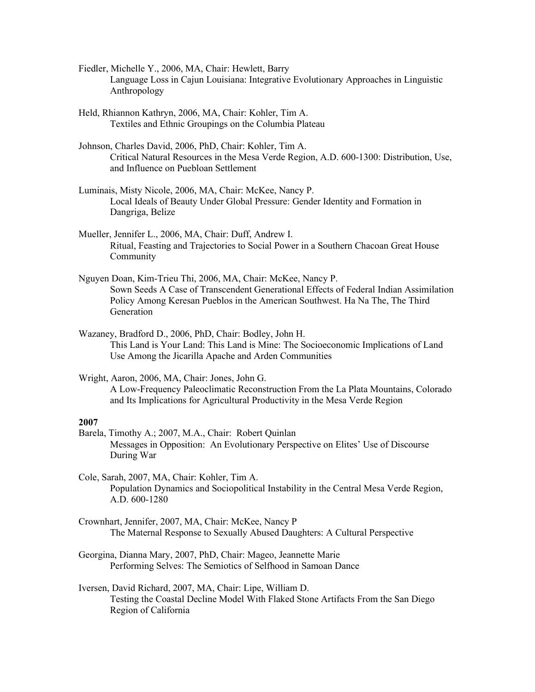- Fiedler, Michelle Y., 2006, MA, Chair: Hewlett, Barry Language Loss in Cajun Louisiana: Integrative Evolutionary Approaches in Linguistic Anthropology
- Held, Rhiannon Kathryn, 2006, MA, Chair: Kohler, Tim A. Textiles and Ethnic Groupings on the Columbia Plateau
- Johnson, Charles David, 2006, PhD, Chair: Kohler, Tim A. Critical Natural Resources in the Mesa Verde Region, A.D. 600-1300: Distribution, Use, and Influence on Puebloan Settlement
- Luminais, Misty Nicole, 2006, MA, Chair: McKee, Nancy P. Local Ideals of Beauty Under Global Pressure: Gender Identity and Formation in Dangriga, Belize
- Mueller, Jennifer L., 2006, MA, Chair: Duff, Andrew I. Ritual, Feasting and Trajectories to Social Power in a Southern Chacoan Great House Community
- Nguyen Doan, Kim-Trieu Thi, 2006, MA, Chair: McKee, Nancy P. Sown Seeds A Case of Transcendent Generational Effects of Federal Indian Assimilation Policy Among Keresan Pueblos in the American Southwest. Ha Na The, The Third Generation
- Wazaney, Bradford D., 2006, PhD, Chair: Bodley, John H. This Land is Your Land: This Land is Mine: The Socioeconomic Implications of Land Use Among the Jicarilla Apache and Arden Communities
- Wright, Aaron, 2006, MA, Chair: Jones, John G. A Low-Frequency Paleoclimatic Reconstruction From the La Plata Mountains, Colorado and Its Implications for Agricultural Productivity in the Mesa Verde Region

- Barela, Timothy A.; 2007, M.A., Chair: Robert Quinlan Messages in Opposition: An Evolutionary Perspective on Elites' Use of Discourse During War
- Cole, Sarah, 2007, MA, Chair: Kohler, Tim A. Population Dynamics and Sociopolitical Instability in the Central Mesa Verde Region, A.D. 600-1280
- Crownhart, Jennifer, 2007, MA, Chair: McKee, Nancy P The Maternal Response to Sexually Abused Daughters: A Cultural Perspective
- Georgina, Dianna Mary, 2007, PhD, Chair: Mageo, Jeannette Marie Performing Selves: The Semiotics of Selfhood in Samoan Dance
- Iversen, David Richard, 2007, MA, Chair: Lipe, William D. Testing the Coastal Decline Model With Flaked Stone Artifacts From the San Diego Region of California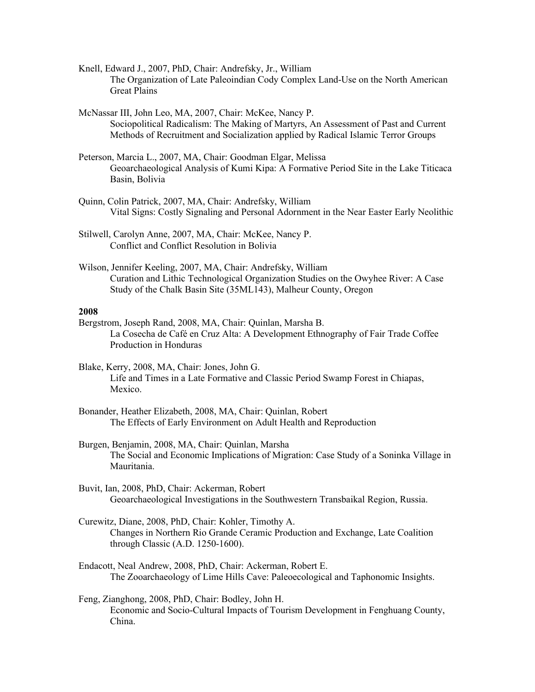Knell, Edward J., 2007, PhD, Chair: Andrefsky, Jr., William The Organization of Late Paleoindian Cody Complex Land-Use on the North American Great Plains

McNassar III, John Leo, MA, 2007, Chair: McKee, Nancy P. Sociopolitical Radicalism: The Making of Martyrs, An Assessment of Past and Current Methods of Recruitment and Socialization applied by Radical Islamic Terror Groups

- Peterson, Marcia L., 2007, MA, Chair: Goodman Elgar, Melissa Geoarchaeological Analysis of Kumi Kipa: A Formative Period Site in the Lake Titicaca Basin, Bolivia
- Quinn, Colin Patrick, 2007, MA, Chair: Andrefsky, William Vital Signs: Costly Signaling and Personal Adornment in the Near Easter Early Neolithic
- Stilwell, Carolyn Anne, 2007, MA, Chair: McKee, Nancy P. Conflict and Conflict Resolution in Bolivia
- Wilson, Jennifer Keeling, 2007, MA, Chair: Andrefsky, William Curation and Lithic Technological Organization Studies on the Owyhee River: A Case Study of the Chalk Basin Site (35ML143), Malheur County, Oregon

### **2008**

- Bergstrom, Joseph Rand, 2008, MA, Chair: Quinlan, Marsha B. La Cosecha de Café en Cruz Alta: A Development Ethnography of Fair Trade Coffee Production in Honduras
- Blake, Kerry, 2008, MA, Chair: Jones, John G. Life and Times in a Late Formative and Classic Period Swamp Forest in Chiapas, Mexico.
- Bonander, Heather Elizabeth, 2008, MA, Chair: Quinlan, Robert The Effects of Early Environment on Adult Health and Reproduction
- Burgen, Benjamin, 2008, MA, Chair: Quinlan, Marsha The Social and Economic Implications of Migration: Case Study of a Soninka Village in Mauritania.
- Buvit, Ian, 2008, PhD, Chair: Ackerman, Robert Geoarchaeological Investigations in the Southwestern Transbaikal Region, Russia.
- Curewitz, Diane, 2008, PhD, Chair: Kohler, Timothy A. Changes in Northern Rio Grande Ceramic Production and Exchange, Late Coalition through Classic (A.D. 1250-1600).
- Endacott, Neal Andrew, 2008, PhD, Chair: Ackerman, Robert E. The Zooarchaeology of Lime Hills Cave: Paleoecological and Taphonomic Insights.

Feng, Zianghong, 2008, PhD, Chair: Bodley, John H. Economic and Socio-Cultural Impacts of Tourism Development in Fenghuang County, China.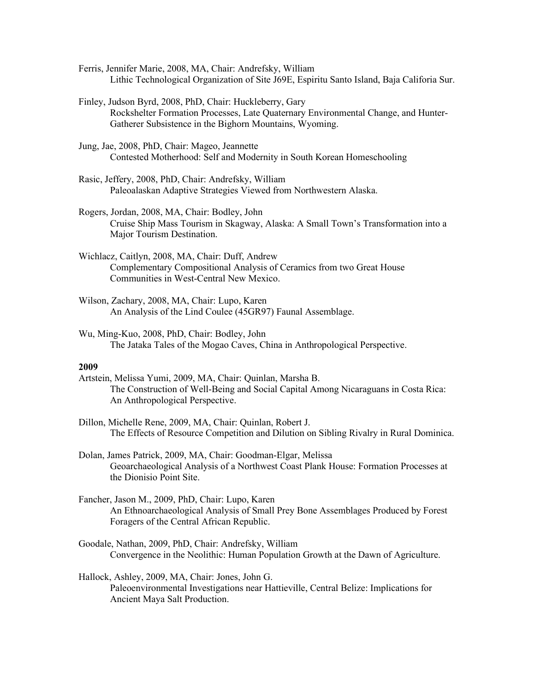- Ferris, Jennifer Marie, 2008, MA, Chair: Andrefsky, William Lithic Technological Organization of Site J69E, Espiritu Santo Island, Baja Califoria Sur.
- Finley, Judson Byrd, 2008, PhD, Chair: Huckleberry, Gary Rockshelter Formation Processes, Late Quaternary Environmental Change, and Hunter-Gatherer Subsistence in the Bighorn Mountains, Wyoming.
- Jung, Jae, 2008, PhD, Chair: Mageo, Jeannette Contested Motherhood: Self and Modernity in South Korean Homeschooling
- Rasic, Jeffery, 2008, PhD, Chair: Andrefsky, William Paleoalaskan Adaptive Strategies Viewed from Northwestern Alaska.
- Rogers, Jordan, 2008, MA, Chair: Bodley, John Cruise Ship Mass Tourism in Skagway, Alaska: A Small Town's Transformation into a Major Tourism Destination.
- Wichlacz, Caitlyn, 2008, MA, Chair: Duff, Andrew Complementary Compositional Analysis of Ceramics from two Great House Communities in West-Central New Mexico.
- Wilson, Zachary, 2008, MA, Chair: Lupo, Karen An Analysis of the Lind Coulee (45GR97) Faunal Assemblage.
- Wu, Ming-Kuo, 2008, PhD, Chair: Bodley, John The Jataka Tales of the Mogao Caves, China in Anthropological Perspective.

- Artstein, Melissa Yumi, 2009, MA, Chair: Quinlan, Marsha B. The Construction of Well-Being and Social Capital Among Nicaraguans in Costa Rica: An Anthropological Perspective.
- Dillon, Michelle Rene, 2009, MA, Chair: Quinlan, Robert J. The Effects of Resource Competition and Dilution on Sibling Rivalry in Rural Dominica.
- Dolan, James Patrick, 2009, MA, Chair: Goodman-Elgar, Melissa Geoarchaeological Analysis of a Northwest Coast Plank House: Formation Processes at the Dionisio Point Site.
- Fancher, Jason M., 2009, PhD, Chair: Lupo, Karen An Ethnoarchaeological Analysis of Small Prey Bone Assemblages Produced by Forest Foragers of the Central African Republic.
- Goodale, Nathan, 2009, PhD, Chair: Andrefsky, William Convergence in the Neolithic: Human Population Growth at the Dawn of Agriculture.
- Hallock, Ashley, 2009, MA, Chair: Jones, John G. Paleoenvironmental Investigations near Hattieville, Central Belize: Implications for Ancient Maya Salt Production.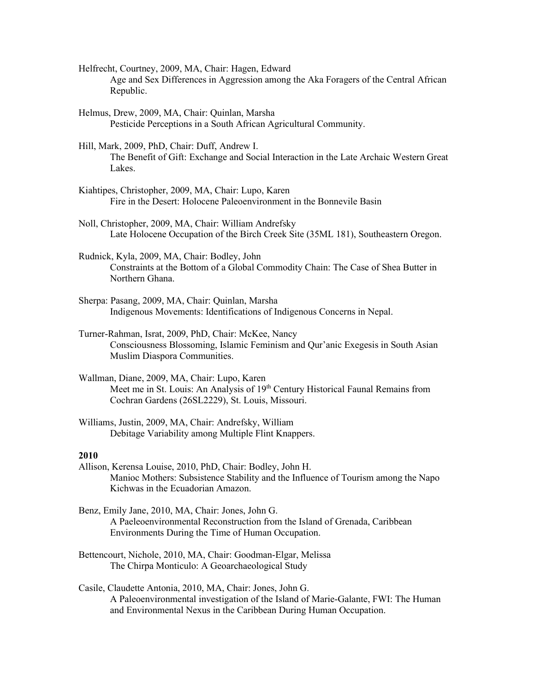- Helfrecht, Courtney, 2009, MA, Chair: Hagen, Edward Age and Sex Differences in Aggression among the Aka Foragers of the Central African Republic.
- Helmus, Drew, 2009, MA, Chair: Quinlan, Marsha Pesticide Perceptions in a South African Agricultural Community.
- Hill, Mark, 2009, PhD, Chair: Duff, Andrew I. The Benefit of Gift: Exchange and Social Interaction in the Late Archaic Western Great Lakes.
- Kiahtipes, Christopher, 2009, MA, Chair: Lupo, Karen Fire in the Desert: Holocene Paleoenvironment in the Bonnevile Basin
- Noll, Christopher, 2009, MA, Chair: William Andrefsky Late Holocene Occupation of the Birch Creek Site (35ML 181), Southeastern Oregon.
- Rudnick, Kyla, 2009, MA, Chair: Bodley, John Constraints at the Bottom of a Global Commodity Chain: The Case of Shea Butter in Northern Ghana.
- Sherpa: Pasang, 2009, MA, Chair: Quinlan, Marsha Indigenous Movements: Identifications of Indigenous Concerns in Nepal.
- Turner-Rahman, Israt, 2009, PhD, Chair: McKee, Nancy Consciousness Blossoming, Islamic Feminism and Qur'anic Exegesis in South Asian Muslim Diaspora Communities.
- Wallman, Diane, 2009, MA, Chair: Lupo, Karen Meet me in St. Louis: An Analysis of 19th Century Historical Faunal Remains from Cochran Gardens (26SL2229), St. Louis, Missouri.
- Williams, Justin, 2009, MA, Chair: Andrefsky, William Debitage Variability among Multiple Flint Knappers.

- Allison, Kerensa Louise, 2010, PhD, Chair: Bodley, John H. Manioc Mothers: Subsistence Stability and the Influence of Tourism among the Napo Kichwas in the Ecuadorian Amazon.
- Benz, Emily Jane, 2010, MA, Chair: Jones, John G. A Paeleoenvironmental Reconstruction from the Island of Grenada, Caribbean Environments During the Time of Human Occupation.
- Bettencourt, Nichole, 2010, MA, Chair: Goodman-Elgar, Melissa The Chirpa Monticulo: A Geoarchaeological Study
- Casile, Claudette Antonia, 2010, MA, Chair: Jones, John G. A Paleoenvironmental investigation of the Island of Marie-Galante, FWI: The Human and Environmental Nexus in the Caribbean During Human Occupation.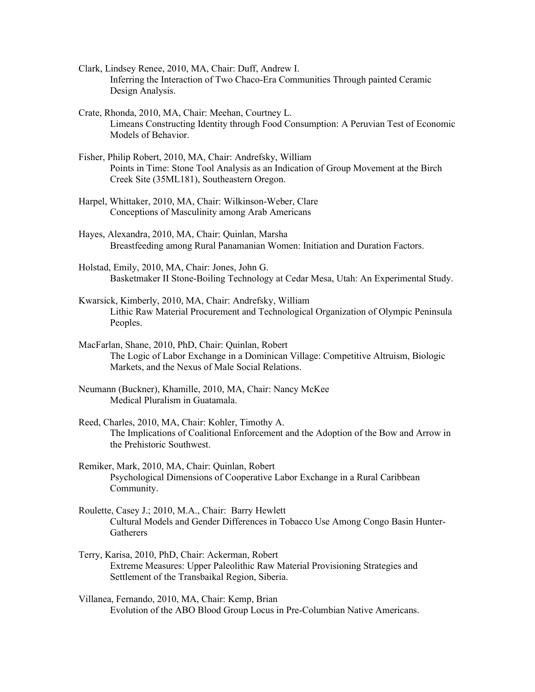- Clark, Lindsey Renee, 2010, MA, Chair: Duff, Andrew I. Inferring the Interaction of Two Chaco-Era Communities Through painted Ceramic Design Analysis.
- Crate, Rhonda, 2010, MA, Chair: Meehan, Courtney L. Limeans Constructing Identity through Food Consumption: A Peruvian Test of Economic Models of Behavior.
- Fisher, Philip Robert, 2010, MA, Chair: Andrefsky, William Points in Time: Stone Tool Analysis as an Indication of Group Movement at the Birch Creek Site (35ML181), Southeastern Oregon.
- Harpel, Whittaker, 2010, MA, Chair: Wilkinson-Weber, Clare Conceptions of Masculinity among Arab Americans
- Hayes, Alexandra, 2010, MA, Chair: Quinlan, Marsha Breastfeeding among Rural Panamanian Women: Initiation and Duration Factors.
- Holstad, Emily, 2010, MA, Chair: Jones, John G. Basketmaker II Stone-Boiling Technology at Cedar Mesa, Utah: An Experimental Study.
- Kwarsick, Kimberly, 2010, MA, Chair: Andrefsky, William Lithic Raw Material Procurement and Technological Organization of Olympic Peninsula Peoples.
- MacFarlan, Shane, 2010, PhD, Chair: Quinlan, Robert The Logic of Labor Exchange in a Dominican Village: Competitive Altruism, Biologic Markets, and the Nexus of Male Social Relations.
- Neumann (Buckner), Khamille, 2010, MA, Chair: Nancy McKee Medical Pluralism in Guatamala.
- Reed, Charles, 2010, MA, Chair: Kohler, Timothy A. The Implications of Coalitional Enforcement and the Adoption of the Bow and Arrow in the Prehistoric Southwest.
- Remiker, Mark, 2010, MA, Chair: Quinlan, Robert Psychological Dimensions of Cooperative Labor Exchange in a Rural Caribbean Community.
- Roulette, Casey J.; 2010, M.A., Chair: Barry Hewlett Cultural Models and Gender Differences in Tobacco Use Among Congo Basin Hunter-**Gatherers**
- Terry, Karisa, 2010, PhD, Chair: Ackerman, Robert Extreme Measures: Upper Paleolithic Raw Material Provisioning Strategies and Settlement of the Transbaikal Region, Siberia.

Villanea, Fernando, 2010, MA, Chair: Kemp, Brian Evolution of the ABO Blood Group Locus in Pre-Columbian Native Americans.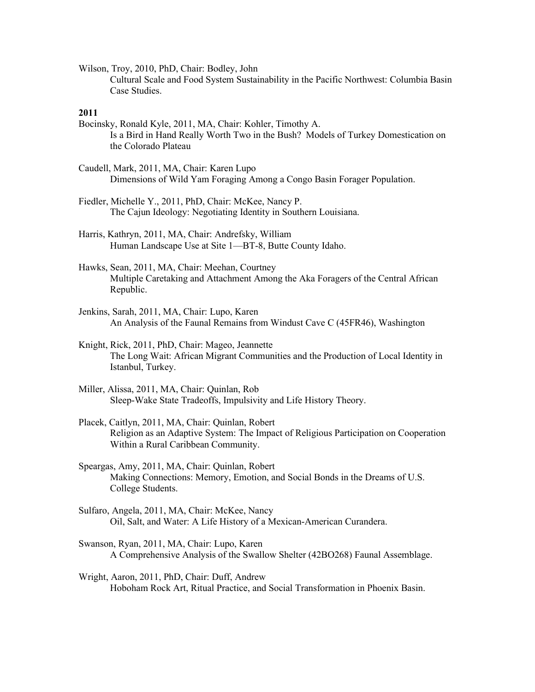Wilson, Troy, 2010, PhD, Chair: Bodley, John Cultural Scale and Food System Sustainability in the Pacific Northwest: Columbia Basin Case Studies.

- Bocinsky, Ronald Kyle, 2011, MA, Chair: Kohler, Timothy A. Is a Bird in Hand Really Worth Two in the Bush? Models of Turkey Domestication on the Colorado Plateau
- Caudell, Mark, 2011, MA, Chair: Karen Lupo Dimensions of Wild Yam Foraging Among a Congo Basin Forager Population.
- Fiedler, Michelle Y., 2011, PhD, Chair: McKee, Nancy P. The Cajun Ideology: Negotiating Identity in Southern Louisiana.
- Harris, Kathryn, 2011, MA, Chair: Andrefsky, William Human Landscape Use at Site 1—BT-8, Butte County Idaho.
- Hawks, Sean, 2011, MA, Chair: Meehan, Courtney Multiple Caretaking and Attachment Among the Aka Foragers of the Central African Republic.
- Jenkins, Sarah, 2011, MA, Chair: Lupo, Karen An Analysis of the Faunal Remains from Windust Cave C (45FR46), Washington
- Knight, Rick, 2011, PhD, Chair: Mageo, Jeannette The Long Wait: African Migrant Communities and the Production of Local Identity in Istanbul, Turkey.
- Miller, Alissa, 2011, MA, Chair: Quinlan, Rob Sleep-Wake State Tradeoffs, Impulsivity and Life History Theory.
- Placek, Caitlyn, 2011, MA, Chair: Quinlan, Robert Religion as an Adaptive System: The Impact of Religious Participation on Cooperation Within a Rural Caribbean Community.
- Speargas, Amy, 2011, MA, Chair: Quinlan, Robert Making Connections: Memory, Emotion, and Social Bonds in the Dreams of U.S. College Students.
- Sulfaro, Angela, 2011, MA, Chair: McKee, Nancy Oil, Salt, and Water: A Life History of a Mexican-American Curandera.
- Swanson, Ryan, 2011, MA, Chair: Lupo, Karen A Comprehensive Analysis of the Swallow Shelter (42BO268) Faunal Assemblage.
- Wright, Aaron, 2011, PhD, Chair: Duff, Andrew Hoboham Rock Art, Ritual Practice, and Social Transformation in Phoenix Basin.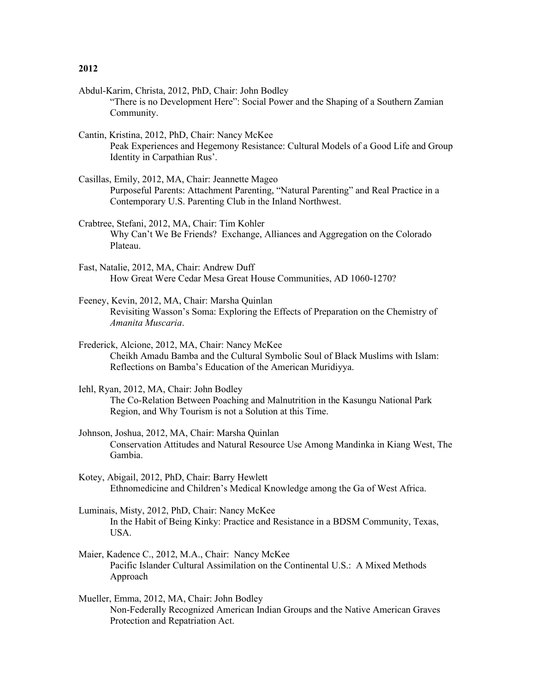- Abdul-Karim, Christa, 2012, PhD, Chair: John Bodley "There is no Development Here": Social Power and the Shaping of a Southern Zamian Community.
- Cantin, Kristina, 2012, PhD, Chair: Nancy McKee Peak Experiences and Hegemony Resistance: Cultural Models of a Good Life and Group Identity in Carpathian Rus'.
- Casillas, Emily, 2012, MA, Chair: Jeannette Mageo Purposeful Parents: Attachment Parenting, "Natural Parenting" and Real Practice in a Contemporary U.S. Parenting Club in the Inland Northwest.
- Crabtree, Stefani, 2012, MA, Chair: Tim Kohler Why Can't We Be Friends? Exchange, Alliances and Aggregation on the Colorado Plateau.
- Fast, Natalie, 2012, MA, Chair: Andrew Duff How Great Were Cedar Mesa Great House Communities, AD 1060-1270?
- Feeney, Kevin, 2012, MA, Chair: Marsha Quinlan Revisiting Wasson's Soma: Exploring the Effects of Preparation on the Chemistry of *Amanita Muscaria*.
- Frederick, Alcione, 2012, MA, Chair: Nancy McKee Cheikh Amadu Bamba and the Cultural Symbolic Soul of Black Muslims with Islam: Reflections on Bamba's Education of the American Muridiyya.
- Iehl, Ryan, 2012, MA, Chair: John Bodley The Co-Relation Between Poaching and Malnutrition in the Kasungu National Park Region, and Why Tourism is not a Solution at this Time.
- Johnson, Joshua, 2012, MA, Chair: Marsha Quinlan Conservation Attitudes and Natural Resource Use Among Mandinka in Kiang West, The Gambia.
- Kotey, Abigail, 2012, PhD, Chair: Barry Hewlett Ethnomedicine and Children's Medical Knowledge among the Ga of West Africa.
- Luminais, Misty, 2012, PhD, Chair: Nancy McKee In the Habit of Being Kinky: Practice and Resistance in a BDSM Community, Texas, USA.
- Maier, Kadence C., 2012, M.A., Chair: Nancy McKee Pacific Islander Cultural Assimilation on the Continental U.S.: A Mixed Methods Approach
- Mueller, Emma, 2012, MA, Chair: John Bodley Non-Federally Recognized American Indian Groups and the Native American Graves Protection and Repatriation Act.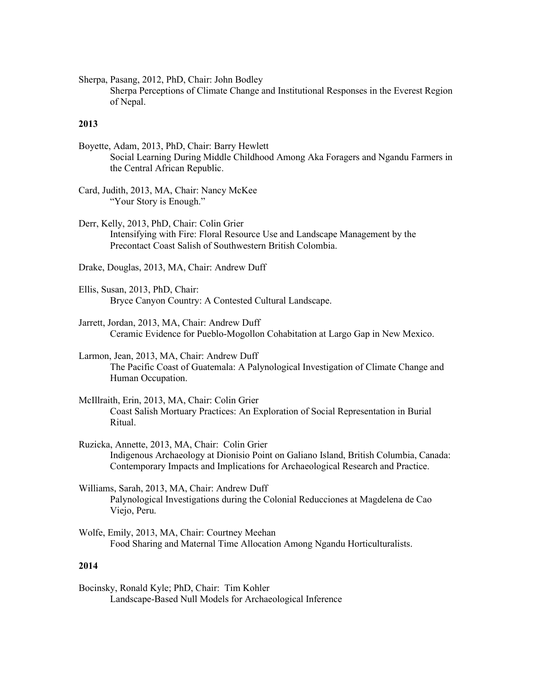Sherpa, Pasang, 2012, PhD, Chair: John Bodley

Sherpa Perceptions of Climate Change and Institutional Responses in the Everest Region of Nepal.

### **2013**

- Boyette, Adam, 2013, PhD, Chair: Barry Hewlett Social Learning During Middle Childhood Among Aka Foragers and Ngandu Farmers in the Central African Republic.
- Card, Judith, 2013, MA, Chair: Nancy McKee "Your Story is Enough."
- Derr, Kelly, 2013, PhD, Chair: Colin Grier Intensifying with Fire: Floral Resource Use and Landscape Management by the Precontact Coast Salish of Southwestern British Colombia.

Drake, Douglas, 2013, MA, Chair: Andrew Duff

- Ellis, Susan, 2013, PhD, Chair: Bryce Canyon Country: A Contested Cultural Landscape.
- Jarrett, Jordan, 2013, MA, Chair: Andrew Duff Ceramic Evidence for Pueblo-Mogollon Cohabitation at Largo Gap in New Mexico.
- Larmon, Jean, 2013, MA, Chair: Andrew Duff The Pacific Coast of Guatemala: A Palynological Investigation of Climate Change and Human Occupation.
- McIllraith, Erin, 2013, MA, Chair: Colin Grier Coast Salish Mortuary Practices: An Exploration of Social Representation in Burial Ritual.
- Ruzicka, Annette, 2013, MA, Chair: Colin Grier Indigenous Archaeology at Dionisio Point on Galiano Island, British Columbia, Canada: Contemporary Impacts and Implications for Archaeological Research and Practice.
- Williams, Sarah, 2013, MA, Chair: Andrew Duff Palynological Investigations during the Colonial Reducciones at Magdelena de Cao Viejo, Peru.
- Wolfe, Emily, 2013, MA, Chair: Courtney Meehan Food Sharing and Maternal Time Allocation Among Ngandu Horticulturalists.

## **2014**

Bocinsky, Ronald Kyle; PhD, Chair: Tim Kohler Landscape-Based Null Models for Archaeological Inference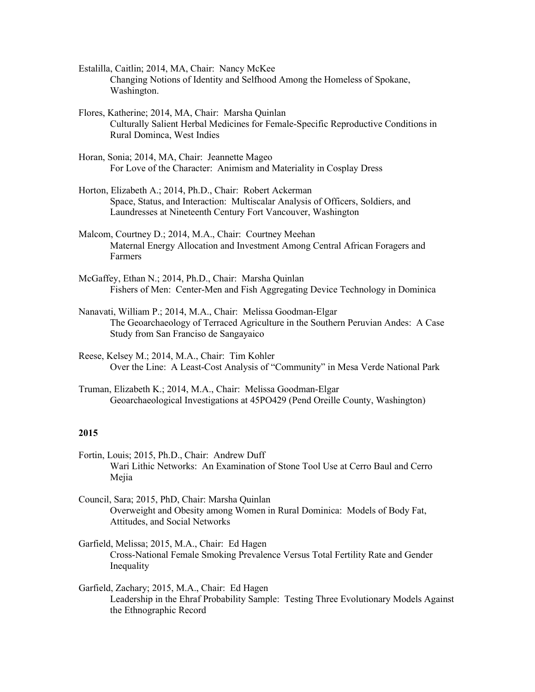- Estalilla, Caitlin; 2014, MA, Chair: Nancy McKee Changing Notions of Identity and Selfhood Among the Homeless of Spokane, Washington.
- Flores, Katherine; 2014, MA, Chair: Marsha Quinlan Culturally Salient Herbal Medicines for Female-Specific Reproductive Conditions in Rural Dominca, West Indies
- Horan, Sonia; 2014, MA, Chair: Jeannette Mageo For Love of the Character: Animism and Materiality in Cosplay Dress
- Horton, Elizabeth A.; 2014, Ph.D., Chair: Robert Ackerman Space, Status, and Interaction: Multiscalar Analysis of Officers, Soldiers, and Laundresses at Nineteenth Century Fort Vancouver, Washington
- Malcom, Courtney D.; 2014, M.A., Chair: Courtney Meehan Maternal Energy Allocation and Investment Among Central African Foragers and Farmers
- McGaffey, Ethan N.; 2014, Ph.D., Chair: Marsha Quinlan Fishers of Men: Center-Men and Fish Aggregating Device Technology in Dominica
- Nanavati, William P.; 2014, M.A., Chair: Melissa Goodman-Elgar The Geoarchaeology of Terraced Agriculture in the Southern Peruvian Andes: A Case Study from San Franciso de Sangayaico
- Reese, Kelsey M.; 2014, M.A., Chair: Tim Kohler Over the Line: A Least-Cost Analysis of "Community" in Mesa Verde National Park
- Truman, Elizabeth K.; 2014, M.A., Chair: Melissa Goodman-Elgar Geoarchaeological Investigations at 45PO429 (Pend Oreille County, Washington)

- Fortin, Louis; 2015, Ph.D., Chair: Andrew Duff Wari Lithic Networks: An Examination of Stone Tool Use at Cerro Baul and Cerro Mejia
- Council, Sara; 2015, PhD, Chair: Marsha Quinlan Overweight and Obesity among Women in Rural Dominica: Models of Body Fat, Attitudes, and Social Networks
- Garfield, Melissa; 2015, M.A., Chair: Ed Hagen Cross-National Female Smoking Prevalence Versus Total Fertility Rate and Gender Inequality
- Garfield, Zachary; 2015, M.A., Chair: Ed Hagen Leadership in the Ehraf Probability Sample: Testing Three Evolutionary Models Against the Ethnographic Record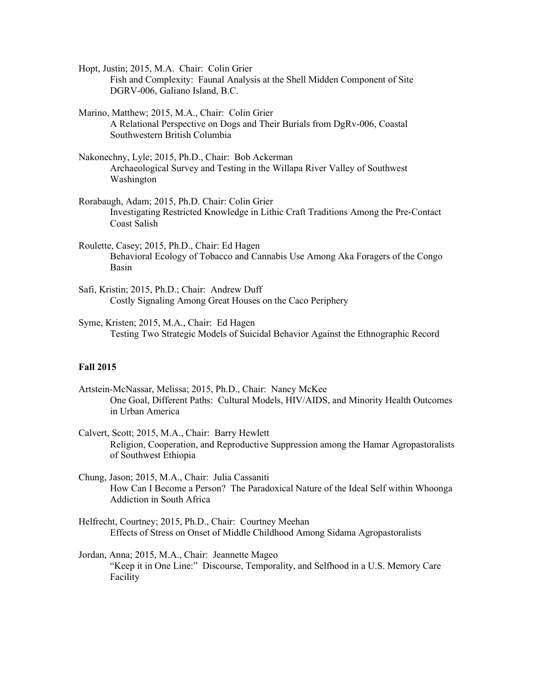Hopt, Justin; 2015, M.A. Chair: Colin Grier Fish and Complexity: Faunal Analysis at the Shell Midden Component of Site DGRV-006, Galiano Island, B.C.

Marino, Matthew; 2015, M.A., Chair: Colin Grier A Relational Perspective on Dogs and Their Burials from DgRv-006, Coastal Southwestern British Columbia

- Nakonechny, Lyle; 2015, Ph.D., Chair: Bob Ackerman Archaeological Survey and Testing in the Willapa River Valley of Southwest Washington
- Rorabaugh, Adam; 2015, Ph.D. Chair: Colin Grier Investigating Restricted Knowledge in Lithic Craft Traditions Among the Pre-Contact Coast Salish
- Roulette, Casey; 2015, Ph.D., Chair: Ed Hagen Behavioral Ecology of Tobacco and Cannabis Use Among Aka Foragers of the Congo Basin
- Safi, Kristin; 2015, Ph.D.; Chair: Andrew Duff Costly Signaling Among Great Houses on the Caco Periphery
- Syme, Kristen; 2015, M.A., Chair: Ed Hagen Testing Two Strategic Models of Suicidal Behavior Against the Ethnographic Record

## **Fall 2015**

- Artstein-McNassar, Melissa; 2015, Ph.D., Chair: Nancy McKee One Goal, Different Paths: Cultural Models, HIV/AIDS, and Minority Health Outcomes in Urban America
- Calvert, Scott; 2015, M.A., Chair: Barry Hewlett Religion, Cooperation, and Reproductive Suppression among the Hamar Agropastoralists of Southwest Ethiopia
- Chung, Jason; 2015, M.A., Chair: Julia Cassaniti How Can I Become a Person? The Paradoxical Nature of the Ideal Self within Whoonga Addiction in South Africa
- Helfrecht, Courtney; 2015, Ph.D., Chair: Courtney Meehan Effects of Stress on Onset of Middle Childhood Among Sidama Agropastoralists
- Jordan, Anna; 2015, M.A., Chair: Jeannette Mageo "Keep it in One Line:" Discourse, Temporality, and Selfhood in a U.S. Memory Care Facility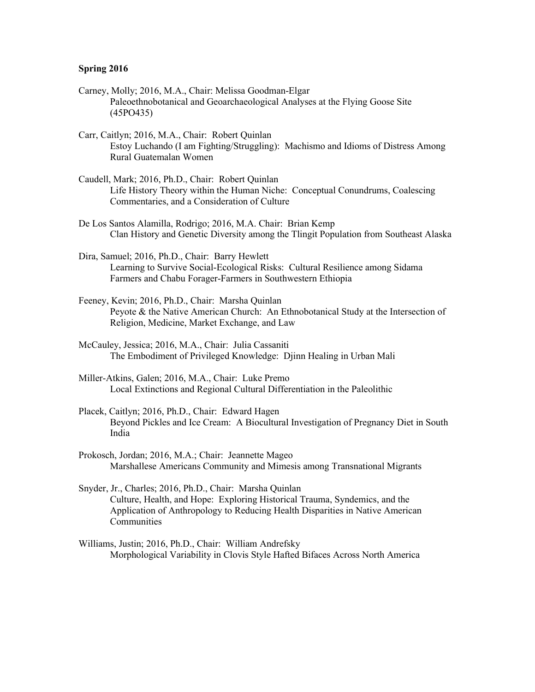- Carney, Molly; 2016, M.A., Chair: Melissa Goodman-Elgar Paleoethnobotanical and Geoarchaeological Analyses at the Flying Goose Site (45PO435)
- Carr, Caitlyn; 2016, M.A., Chair: Robert Quinlan Estoy Luchando (I am Fighting/Struggling): Machismo and Idioms of Distress Among Rural Guatemalan Women
- Caudell, Mark; 2016, Ph.D., Chair: Robert Quinlan Life History Theory within the Human Niche: Conceptual Conundrums, Coalescing Commentaries, and a Consideration of Culture
- De Los Santos Alamilla, Rodrigo; 2016, M.A. Chair: Brian Kemp Clan History and Genetic Diversity among the Tlingit Population from Southeast Alaska
- Dira, Samuel; 2016, Ph.D., Chair: Barry Hewlett Learning to Survive Social-Ecological Risks: Cultural Resilience among Sidama Farmers and Chabu Forager-Farmers in Southwestern Ethiopia
- Feeney, Kevin; 2016, Ph.D., Chair: Marsha Quinlan Peyote & the Native American Church: An Ethnobotanical Study at the Intersection of Religion, Medicine, Market Exchange, and Law
- McCauley, Jessica; 2016, M.A., Chair: Julia Cassaniti The Embodiment of Privileged Knowledge: Djinn Healing in Urban Mali
- Miller-Atkins, Galen; 2016, M.A., Chair: Luke Premo Local Extinctions and Regional Cultural Differentiation in the Paleolithic
- Placek, Caitlyn; 2016, Ph.D., Chair: Edward Hagen Beyond Pickles and Ice Cream: A Biocultural Investigation of Pregnancy Diet in South India
- Prokosch, Jordan; 2016, M.A.; Chair: Jeannette Mageo Marshallese Americans Community and Mimesis among Transnational Migrants
- Snyder, Jr., Charles; 2016, Ph.D., Chair: Marsha Quinlan Culture, Health, and Hope: Exploring Historical Trauma, Syndemics, and the Application of Anthropology to Reducing Health Disparities in Native American Communities
- Williams, Justin; 2016, Ph.D., Chair: William Andrefsky Morphological Variability in Clovis Style Hafted Bifaces Across North America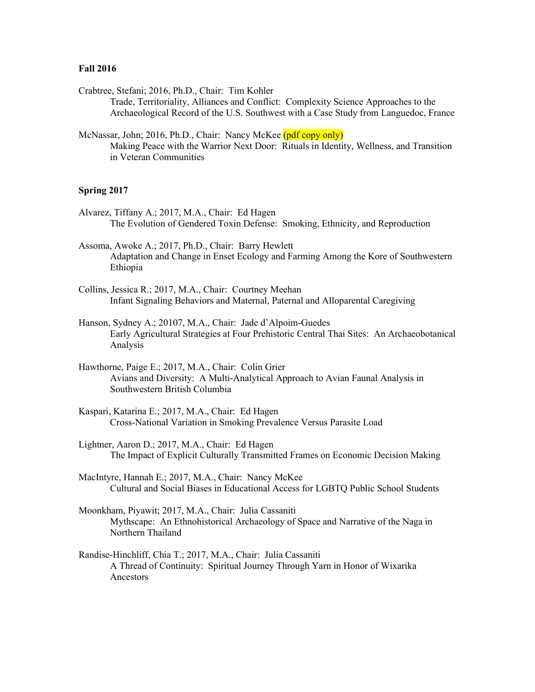#### **Fall 2016**

Crabtree, Stefani; 2016, Ph.D., Chair: Tim Kohler

Trade, Territoriality, Alliances and Conflict: Complexity Science Approaches to the Archaeological Record of the U.S. Southwest with a Case Study from Languedoc, France

McNassar, John; 2016, Ph.D., Chair: Nancy McKee (pdf copy only) Making Peace with the Warrior Next Door: Rituals in Identity, Wellness, and Transition in Veteran Communities

- Alvarez, Tiffany A.; 2017, M.A., Chair: Ed Hagen The Evolution of Gendered Toxin Defense: Smoking, Ethnicity, and Reproduction
- Assoma, Awoke A.; 2017, Ph.D., Chair: Barry Hewlett Adaptation and Change in Enset Ecology and Farming Among the Kore of Southwestern Ethiopia
- Collins, Jessica R.; 2017, M.A., Chair: Courtney Meehan Infant Signaling Behaviors and Maternal, Paternal and Alloparental Caregiving
- Hanson, Sydney A.; 20107, M.A., Chair: Jade d'Alpoim-Guedes Early Agricultural Strategies at Four Prehistoric Central Thai Sites: An Archaeobotanical Analysis
- Hawthorne, Paige E.; 2017, M.A., Chair: Colin Grier Avians and Diversity: A Multi-Analytical Approach to Avian Faunal Analysis in Southwestern British Columbia
- Kaspari, Katarina E.; 2017, M.A., Chair: Ed Hagen Cross-National Variation in Smoking Prevalence Versus Parasite Load
- Lightner, Aaron D.; 2017, M.A., Chair: Ed Hagen The Impact of Explicit Culturally Transmitted Frames on Economic Decision Making
- MacIntyre, Hannah E.; 2017, M.A., Chair: Nancy McKee Cultural and Social Biases in Educational Access for LGBTQ Public School Students
- Moonkham, Piyawit; 2017, M.A., Chair: Julia Cassaniti Mythscape: An Ethnohistorical Archaeology of Space and Narrative of the Naga in Northern Thailand
- Randise-Hinchliff, Chia T.; 2017, M.A., Chair: Julia Cassaniti A Thread of Continuity: Spiritual Journey Through Yarn in Honor of Wixarika Ancestors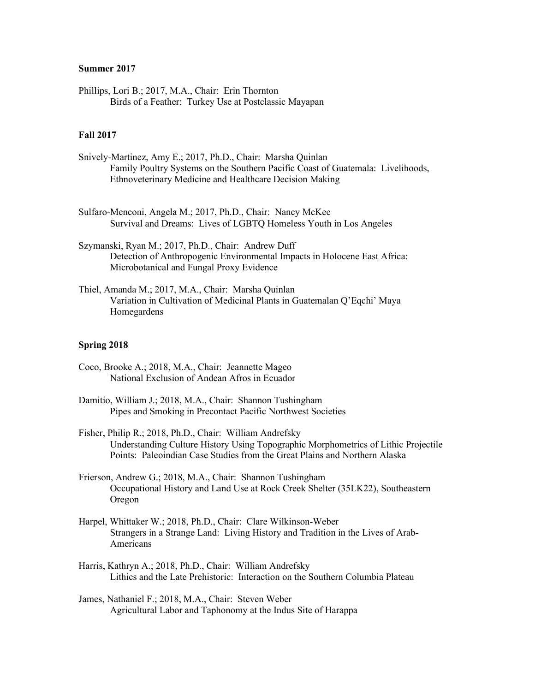## **Summer 2017**

Phillips, Lori B.; 2017, M.A., Chair: Erin Thornton Birds of a Feather: Turkey Use at Postclassic Mayapan

# **Fall 2017**

- Snively-Martinez, Amy E.; 2017, Ph.D., Chair: Marsha Quinlan Family Poultry Systems on the Southern Pacific Coast of Guatemala: Livelihoods, Ethnoveterinary Medicine and Healthcare Decision Making
- Sulfaro-Menconi, Angela M.; 2017, Ph.D., Chair: Nancy McKee Survival and Dreams: Lives of LGBTQ Homeless Youth in Los Angeles
- Szymanski, Ryan M.; 2017, Ph.D., Chair: Andrew Duff Detection of Anthropogenic Environmental Impacts in Holocene East Africa: Microbotanical and Fungal Proxy Evidence
- Thiel, Amanda M.; 2017, M.A., Chair: Marsha Quinlan Variation in Cultivation of Medicinal Plants in Guatemalan Q'Eqchi' Maya Homegardens

- Coco, Brooke A.; 2018, M.A., Chair: Jeannette Mageo National Exclusion of Andean Afros in Ecuador
- Damitio, William J.; 2018, M.A., Chair: Shannon Tushingham Pipes and Smoking in Precontact Pacific Northwest Societies
- Fisher, Philip R.; 2018, Ph.D., Chair: William Andrefsky Understanding Culture History Using Topographic Morphometrics of Lithic Projectile Points: Paleoindian Case Studies from the Great Plains and Northern Alaska
- Frierson, Andrew G.; 2018, M.A., Chair: Shannon Tushingham Occupational History and Land Use at Rock Creek Shelter (35LK22), Southeastern Oregon
- Harpel, Whittaker W.; 2018, Ph.D., Chair: Clare Wilkinson-Weber Strangers in a Strange Land: Living History and Tradition in the Lives of Arab-Americans
- Harris, Kathryn A.; 2018, Ph.D., Chair: William Andrefsky Lithics and the Late Prehistoric: Interaction on the Southern Columbia Plateau
- James, Nathaniel F.; 2018, M.A., Chair: Steven Weber Agricultural Labor and Taphonomy at the Indus Site of Harappa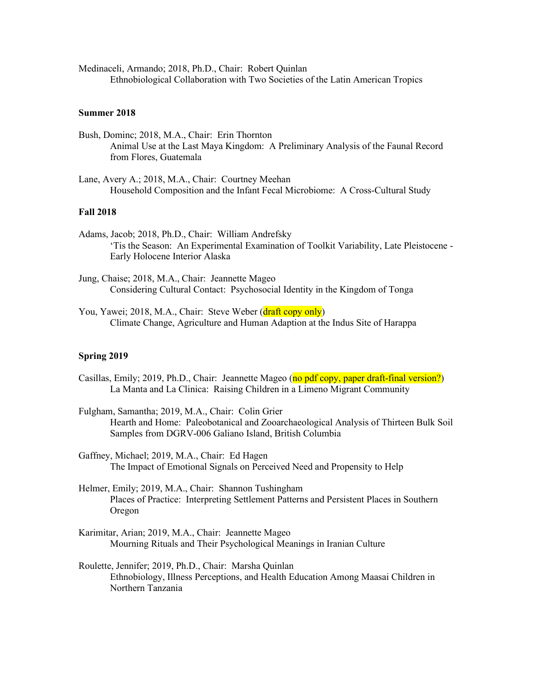Medinaceli, Armando; 2018, Ph.D., Chair: Robert Quinlan Ethnobiological Collaboration with Two Societies of the Latin American Tropics

## **Summer 2018**

- Bush, Dominc; 2018, M.A., Chair: Erin Thornton Animal Use at the Last Maya Kingdom: A Preliminary Analysis of the Faunal Record from Flores, Guatemala
- Lane, Avery A.; 2018, M.A., Chair: Courtney Meehan Household Composition and the Infant Fecal Microbiome: A Cross-Cultural Study

#### **Fall 2018**

- Adams, Jacob; 2018, Ph.D., Chair: William Andrefsky 'Tis the Season: An Experimental Examination of Toolkit Variability, Late Pleistocene - Early Holocene Interior Alaska
- Jung, Chaise; 2018, M.A., Chair: Jeannette Mageo Considering Cultural Contact: Psychosocial Identity in the Kingdom of Tonga
- You, Yawei; 2018, M.A., Chair: Steve Weber (draft copy only) Climate Change, Agriculture and Human Adaption at the Indus Site of Harappa

- Casillas, Emily; 2019, Ph.D., Chair: Jeannette Mageo (no pdf copy, paper draft-final version?) La Manta and La Clinica: Raising Children in a Limeno Migrant Community
- Fulgham, Samantha; 2019, M.A., Chair: Colin Grier Hearth and Home: Paleobotanical and Zooarchaeological Analysis of Thirteen Bulk Soil Samples from DGRV-006 Galiano Island, British Columbia
- Gaffney, Michael; 2019, M.A., Chair: Ed Hagen The Impact of Emotional Signals on Perceived Need and Propensity to Help
- Helmer, Emily; 2019, M.A., Chair: Shannon Tushingham Places of Practice: Interpreting Settlement Patterns and Persistent Places in Southern Oregon
- Karimitar, Arian; 2019, M.A., Chair: Jeannette Mageo Mourning Rituals and Their Psychological Meanings in Iranian Culture
- Roulette, Jennifer; 2019, Ph.D., Chair: Marsha Quinlan Ethnobiology, Illness Perceptions, and Health Education Among Maasai Children in Northern Tanzania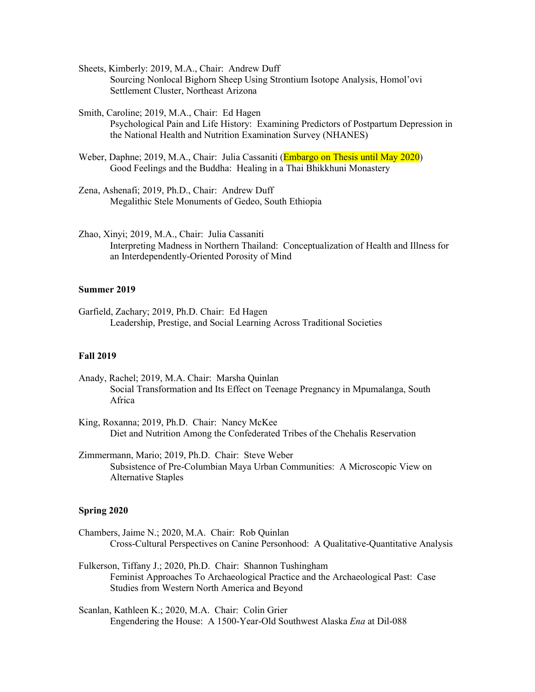Sheets, Kimberly: 2019, M.A., Chair: Andrew Duff Sourcing Nonlocal Bighorn Sheep Using Strontium Isotope Analysis, Homol'ovi Settlement Cluster, Northeast Arizona

Smith, Caroline; 2019, M.A., Chair: Ed Hagen Psychological Pain and Life History: Examining Predictors of Postpartum Depression in the National Health and Nutrition Examination Survey (NHANES)

- Weber, Daphne; 2019, M.A., Chair: Julia Cassaniti (Embargo on Thesis until May 2020) Good Feelings and the Buddha: Healing in a Thai Bhikkhuni Monastery
- Zena, Ashenafi; 2019, Ph.D., Chair: Andrew Duff Megalithic Stele Monuments of Gedeo, South Ethiopia
- Zhao, Xinyi; 2019, M.A., Chair: Julia Cassaniti Interpreting Madness in Northern Thailand: Conceptualization of Health and Illness for an Interdependently-Oriented Porosity of Mind

## **Summer 2019**

Garfield, Zachary; 2019, Ph.D. Chair: Ed Hagen Leadership, Prestige, and Social Learning Across Traditional Societies

## **Fall 2019**

- Anady, Rachel; 2019, M.A. Chair: Marsha Quinlan Social Transformation and Its Effect on Teenage Pregnancy in Mpumalanga, South Africa
- King, Roxanna; 2019, Ph.D. Chair: Nancy McKee Diet and Nutrition Among the Confederated Tribes of the Chehalis Reservation
- Zimmermann, Mario; 2019, Ph.D. Chair: Steve Weber Subsistence of Pre-Columbian Maya Urban Communities: A Microscopic View on Alternative Staples

- Chambers, Jaime N.; 2020, M.A. Chair: Rob Quinlan Cross-Cultural Perspectives on Canine Personhood: A Qualitative-Quantitative Analysis
- Fulkerson, Tiffany J.; 2020, Ph.D. Chair: Shannon Tushingham Feminist Approaches To Archaeological Practice and the Archaeological Past: Case Studies from Western North America and Beyond
- Scanlan, Kathleen K.; 2020, M.A. Chair: Colin Grier Engendering the House: A 1500-Year-Old Southwest Alaska *Ena* at Dil-088